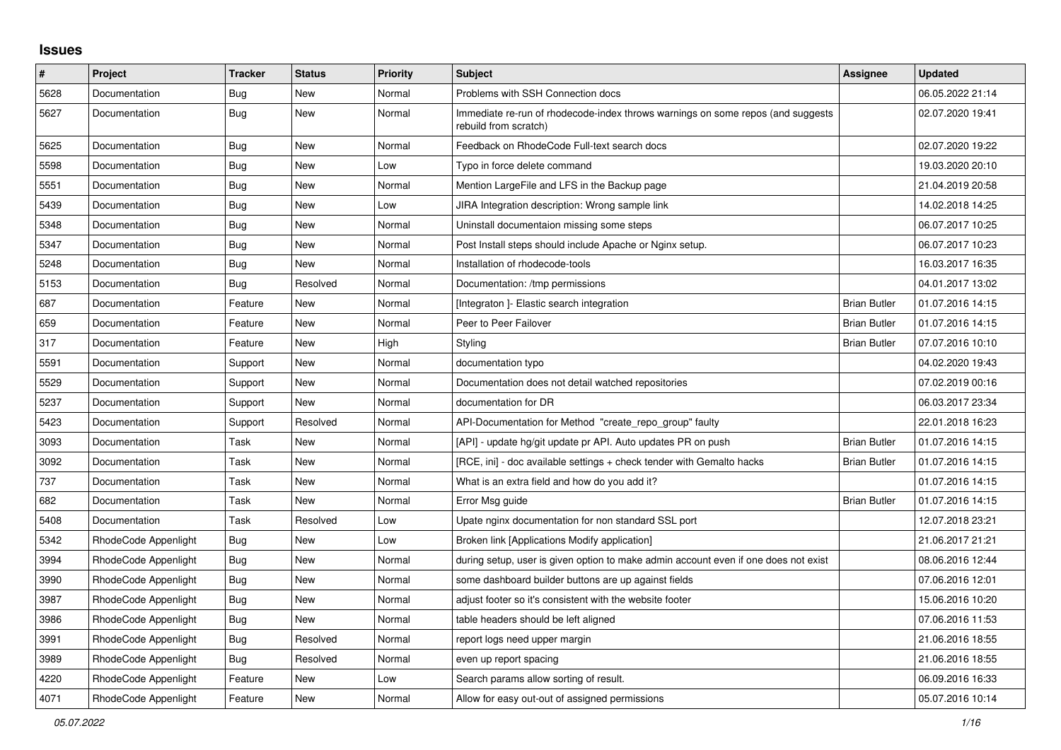## **Issues**

| #    | <b>Project</b>       | <b>Tracker</b> | <b>Status</b> | <b>Priority</b> | <b>Subject</b>                                                                                           | Assignee            | <b>Updated</b>   |
|------|----------------------|----------------|---------------|-----------------|----------------------------------------------------------------------------------------------------------|---------------------|------------------|
| 5628 | Documentation        | Bug            | New           | Normal          | Problems with SSH Connection docs                                                                        |                     | 06.05.2022 21:14 |
| 5627 | Documentation        | <b>Bug</b>     | New           | Normal          | Immediate re-run of rhodecode-index throws warnings on some repos (and suggests<br>rebuild from scratch) |                     | 02.07.2020 19:41 |
| 5625 | Documentation        | <b>Bug</b>     | <b>New</b>    | Normal          | Feedback on RhodeCode Full-text search docs                                                              |                     | 02.07.2020 19:22 |
| 5598 | Documentation        | Bug            | New           | Low             | Typo in force delete command                                                                             |                     | 19.03.2020 20:10 |
| 5551 | Documentation        | Bug            | New           | Normal          | Mention LargeFile and LFS in the Backup page                                                             |                     | 21.04.2019 20:58 |
| 5439 | Documentation        | Bug            | New           | Low             | JIRA Integration description: Wrong sample link                                                          |                     | 14.02.2018 14:25 |
| 5348 | Documentation        | Bug            | New           | Normal          | Uninstall documentaion missing some steps                                                                |                     | 06.07.2017 10:25 |
| 5347 | Documentation        | Bug            | <b>New</b>    | Normal          | Post Install steps should include Apache or Nginx setup.                                                 |                     | 06.07.2017 10:23 |
| 5248 | Documentation        | Bug            | New           | Normal          | Installation of rhodecode-tools                                                                          |                     | 16.03.2017 16:35 |
| 5153 | Documentation        | Bug            | Resolved      | Normal          | Documentation: /tmp permissions                                                                          |                     | 04.01.2017 13:02 |
| 687  | Documentation        | Feature        | New           | Normal          | [Integraton] - Elastic search integration                                                                | <b>Brian Butler</b> | 01.07.2016 14:15 |
| 659  | Documentation        | Feature        | <b>New</b>    | Normal          | Peer to Peer Failover                                                                                    | <b>Brian Butler</b> | 01.07.2016 14:15 |
| 317  | Documentation        | Feature        | <b>New</b>    | High            | Styling                                                                                                  | <b>Brian Butler</b> | 07.07.2016 10:10 |
| 5591 | Documentation        | Support        | <b>New</b>    | Normal          | documentation typo                                                                                       |                     | 04.02.2020 19:43 |
| 5529 | Documentation        | Support        | New           | Normal          | Documentation does not detail watched repositories                                                       |                     | 07.02.2019 00:16 |
| 5237 | Documentation        | Support        | New           | Normal          | documentation for DR                                                                                     |                     | 06.03.2017 23:34 |
| 5423 | Documentation        | Support        | Resolved      | Normal          | API-Documentation for Method "create repo group" faulty                                                  |                     | 22.01.2018 16:23 |
| 3093 | Documentation        | Task           | <b>New</b>    | Normal          | [API] - update hg/git update pr API. Auto updates PR on push                                             | <b>Brian Butler</b> | 01.07.2016 14:15 |
| 3092 | Documentation        | Task           | New           | Normal          | [RCE, ini] - doc available settings + check tender with Gemalto hacks                                    | <b>Brian Butler</b> | 01.07.2016 14:15 |
| 737  | Documentation        | Task           | New           | Normal          | What is an extra field and how do you add it?                                                            |                     | 01.07.2016 14:15 |
| 682  | Documentation        | Task           | <b>New</b>    | Normal          | Error Msg guide                                                                                          | <b>Brian Butler</b> | 01.07.2016 14:15 |
| 5408 | Documentation        | Task           | Resolved      | Low             | Upate nginx documentation for non standard SSL port                                                      |                     | 12.07.2018 23:21 |
| 5342 | RhodeCode Appenlight | Bug            | <b>New</b>    | Low             | Broken link [Applications Modify application]                                                            |                     | 21.06.2017 21:21 |
| 3994 | RhodeCode Appenlight | Bug            | <b>New</b>    | Normal          | during setup, user is given option to make admin account even if one does not exist                      |                     | 08.06.2016 12:44 |
| 3990 | RhodeCode Appenlight | Bug            | New           | Normal          | some dashboard builder buttons are up against fields                                                     |                     | 07.06.2016 12:01 |
| 3987 | RhodeCode Appenlight | Bug            | New           | Normal          | adjust footer so it's consistent with the website footer                                                 |                     | 15.06.2016 10:20 |
| 3986 | RhodeCode Appenlight | Bug            | New           | Normal          | table headers should be left aligned                                                                     |                     | 07.06.2016 11:53 |
| 3991 | RhodeCode Appenlight | Bug            | Resolved      | Normal          | report logs need upper margin                                                                            |                     | 21.06.2016 18:55 |
| 3989 | RhodeCode Appenlight | Bug            | Resolved      | Normal          | even up report spacing                                                                                   |                     | 21.06.2016 18:55 |
| 4220 | RhodeCode Appenlight | Feature        | New           | Low             | Search params allow sorting of result.                                                                   |                     | 06.09.2016 16:33 |
| 4071 | RhodeCode Appenlight | Feature        | New           | Normal          | Allow for easy out-out of assigned permissions                                                           |                     | 05.07.2016 10:14 |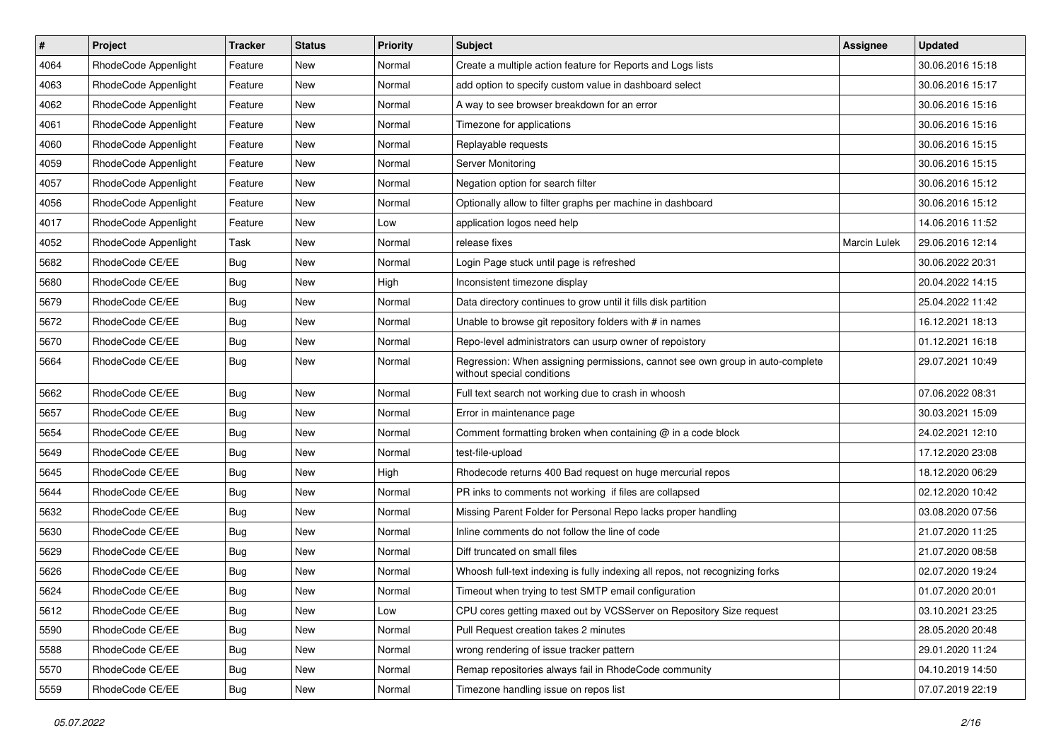| $\overline{\boldsymbol{H}}$ | Project              | <b>Tracker</b> | <b>Status</b> | Priority | Subject                                                                                                     | <b>Assignee</b> | <b>Updated</b>   |
|-----------------------------|----------------------|----------------|---------------|----------|-------------------------------------------------------------------------------------------------------------|-----------------|------------------|
| 4064                        | RhodeCode Appenlight | Feature        | New           | Normal   | Create a multiple action feature for Reports and Logs lists                                                 |                 | 30.06.2016 15:18 |
| 4063                        | RhodeCode Appenlight | Feature        | <b>New</b>    | Normal   | add option to specify custom value in dashboard select                                                      |                 | 30.06.2016 15:17 |
| 4062                        | RhodeCode Appenlight | Feature        | New           | Normal   | A way to see browser breakdown for an error                                                                 |                 | 30.06.2016 15:16 |
| 4061                        | RhodeCode Appenlight | Feature        | New           | Normal   | Timezone for applications                                                                                   |                 | 30.06.2016 15:16 |
| 4060                        | RhodeCode Appenlight | Feature        | <b>New</b>    | Normal   | Replayable requests                                                                                         |                 | 30.06.2016 15:15 |
| 4059                        | RhodeCode Appenlight | Feature        | New           | Normal   | Server Monitoring                                                                                           |                 | 30.06.2016 15:15 |
| 4057                        | RhodeCode Appenlight | Feature        | New           | Normal   | Negation option for search filter                                                                           |                 | 30.06.2016 15:12 |
| 4056                        | RhodeCode Appenlight | Feature        | New           | Normal   | Optionally allow to filter graphs per machine in dashboard                                                  |                 | 30.06.2016 15:12 |
| 4017                        | RhodeCode Appenlight | Feature        | <b>New</b>    | Low      | application logos need help                                                                                 |                 | 14.06.2016 11:52 |
| 4052                        | RhodeCode Appenlight | Task           | <b>New</b>    | Normal   | release fixes                                                                                               | Marcin Lulek    | 29.06.2016 12:14 |
| 5682                        | RhodeCode CE/EE      | Bug            | New           | Normal   | Login Page stuck until page is refreshed                                                                    |                 | 30.06.2022 20:31 |
| 5680                        | RhodeCode CE/EE      | Bug            | New           | High     | Inconsistent timezone display                                                                               |                 | 20.04.2022 14:15 |
| 5679                        | RhodeCode CE/EE      | Bug            | <b>New</b>    | Normal   | Data directory continues to grow until it fills disk partition                                              |                 | 25.04.2022 11:42 |
| 5672                        | RhodeCode CE/EE      | <b>Bug</b>     | New           | Normal   | Unable to browse git repository folders with # in names                                                     |                 | 16.12.2021 18:13 |
| 5670                        | RhodeCode CE/EE      | <b>Bug</b>     | New           | Normal   | Repo-level administrators can usurp owner of repoistory                                                     |                 | 01.12.2021 16:18 |
| 5664                        | RhodeCode CE/EE      | Bug            | New           | Normal   | Regression: When assigning permissions, cannot see own group in auto-complete<br>without special conditions |                 | 29.07.2021 10:49 |
| 5662                        | RhodeCode CE/EE      | Bug            | <b>New</b>    | Normal   | Full text search not working due to crash in whoosh                                                         |                 | 07.06.2022 08:31 |
| 5657                        | RhodeCode CE/EE      | <b>Bug</b>     | New           | Normal   | Error in maintenance page                                                                                   |                 | 30.03.2021 15:09 |
| 5654                        | RhodeCode CE/EE      | Bug            | New           | Normal   | Comment formatting broken when containing $@$ in a code block                                               |                 | 24.02.2021 12:10 |
| 5649                        | RhodeCode CE/EE      | Bug            | <b>New</b>    | Normal   | test-file-upload                                                                                            |                 | 17.12.2020 23:08 |
| 5645                        | RhodeCode CE/EE      | Bug            | <b>New</b>    | High     | Rhodecode returns 400 Bad request on huge mercurial repos                                                   |                 | 18.12.2020 06:29 |
| 5644                        | RhodeCode CE/EE      | Bug            | New           | Normal   | PR inks to comments not working if files are collapsed                                                      |                 | 02.12.2020 10:42 |
| 5632                        | RhodeCode CE/EE      | <b>Bug</b>     | New           | Normal   | Missing Parent Folder for Personal Repo lacks proper handling                                               |                 | 03.08.2020 07:56 |
| 5630                        | RhodeCode CE/EE      | Bug            | New           | Normal   | Inline comments do not follow the line of code                                                              |                 | 21.07.2020 11:25 |
| 5629                        | RhodeCode CE/EE      | Bug            | <b>New</b>    | Normal   | Diff truncated on small files                                                                               |                 | 21.07.2020 08:58 |
| 5626                        | RhodeCode CE/EE      | <b>Bug</b>     | New           | Normal   | Whoosh full-text indexing is fully indexing all repos, not recognizing forks                                |                 | 02.07.2020 19:24 |
| 5624                        | RhodeCode CE/EE      | <b>Bug</b>     | New           | Normal   | Timeout when trying to test SMTP email configuration                                                        |                 | 01.07.2020 20:01 |
| 5612                        | RhodeCode CE/EE      | <b>Bug</b>     | New           | Low      | CPU cores getting maxed out by VCSServer on Repository Size request                                         |                 | 03.10.2021 23:25 |
| 5590                        | RhodeCode CE/EE      | Bug            | New           | Normal   | Pull Request creation takes 2 minutes                                                                       |                 | 28.05.2020 20:48 |
| 5588                        | RhodeCode CE/EE      | <b>Bug</b>     | New           | Normal   | wrong rendering of issue tracker pattern                                                                    |                 | 29.01.2020 11:24 |
| 5570                        | RhodeCode CE/EE      | Bug            | New           | Normal   | Remap repositories always fail in RhodeCode community                                                       |                 | 04.10.2019 14:50 |
| 5559                        | RhodeCode CE/EE      | <b>Bug</b>     | New           | Normal   | Timezone handling issue on repos list                                                                       |                 | 07.07.2019 22:19 |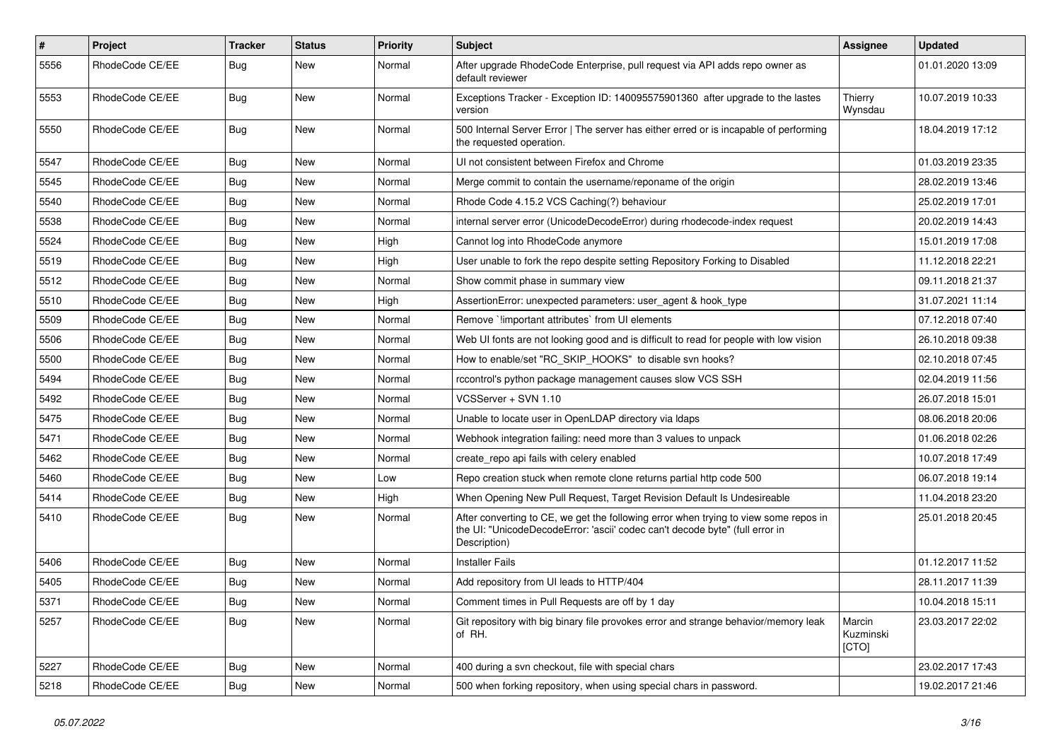| $\#$ | Project         | Tracker    | <b>Status</b> | <b>Priority</b> | <b>Subject</b>                                                                                                                                                                       | Assignee                     | <b>Updated</b>   |
|------|-----------------|------------|---------------|-----------------|--------------------------------------------------------------------------------------------------------------------------------------------------------------------------------------|------------------------------|------------------|
| 5556 | RhodeCode CE/EE | Bug        | New           | Normal          | After upgrade RhodeCode Enterprise, pull request via API adds repo owner as<br>default reviewer                                                                                      |                              | 01.01.2020 13:09 |
| 5553 | RhodeCode CE/EE | Bug        | New           | Normal          | Exceptions Tracker - Exception ID: 140095575901360 after upgrade to the lastes<br>version                                                                                            | Thierry<br>Wynsdau           | 10.07.2019 10:33 |
| 5550 | RhodeCode CE/EE | Bug        | New           | Normal          | 500 Internal Server Error   The server has either erred or is incapable of performing<br>the requested operation.                                                                    |                              | 18.04.2019 17:12 |
| 5547 | RhodeCode CE/EE | <b>Bug</b> | New           | Normal          | UI not consistent between Firefox and Chrome                                                                                                                                         |                              | 01.03.2019 23:35 |
| 5545 | RhodeCode CE/EE | Bug        | New           | Normal          | Merge commit to contain the username/reponame of the origin                                                                                                                          |                              | 28.02.2019 13:46 |
| 5540 | RhodeCode CE/EE | <b>Bug</b> | New           | Normal          | Rhode Code 4.15.2 VCS Caching(?) behaviour                                                                                                                                           |                              | 25.02.2019 17:01 |
| 5538 | RhodeCode CE/EE | <b>Bug</b> | New           | Normal          | internal server error (UnicodeDecodeError) during rhodecode-index request                                                                                                            |                              | 20.02.2019 14:43 |
| 5524 | RhodeCode CE/EE | <b>Bug</b> | New           | High            | Cannot log into RhodeCode anymore                                                                                                                                                    |                              | 15.01.2019 17:08 |
| 5519 | RhodeCode CE/EE | Bug        | New           | High            | User unable to fork the repo despite setting Repository Forking to Disabled                                                                                                          |                              | 11.12.2018 22:21 |
| 5512 | RhodeCode CE/EE | <b>Bug</b> | New           | Normal          | Show commit phase in summary view                                                                                                                                                    |                              | 09.11.2018 21:37 |
| 5510 | RhodeCode CE/EE | Bug        | New           | High            | AssertionError: unexpected parameters: user agent & hook type                                                                                                                        |                              | 31.07.2021 11:14 |
| 5509 | RhodeCode CE/EE | <b>Bug</b> | New           | Normal          | Remove `limportant attributes` from UI elements                                                                                                                                      |                              | 07.12.2018 07:40 |
| 5506 | RhodeCode CE/EE | <b>Bug</b> | New           | Normal          | Web UI fonts are not looking good and is difficult to read for people with low vision                                                                                                |                              | 26.10.2018 09:38 |
| 5500 | RhodeCode CE/EE | <b>Bug</b> | New           | Normal          | How to enable/set "RC SKIP HOOKS" to disable svn hooks?                                                                                                                              |                              | 02.10.2018 07:45 |
| 5494 | RhodeCode CE/EE | Bug        | New           | Normal          | rccontrol's python package management causes slow VCS SSH                                                                                                                            |                              | 02.04.2019 11:56 |
| 5492 | RhodeCode CE/EE | <b>Bug</b> | New           | Normal          | VCSServer + SVN 1.10                                                                                                                                                                 |                              | 26.07.2018 15:01 |
| 5475 | RhodeCode CE/EE | <b>Bug</b> | New           | Normal          | Unable to locate user in OpenLDAP directory via Idaps                                                                                                                                |                              | 08.06.2018 20:06 |
| 5471 | RhodeCode CE/EE | Bug        | New           | Normal          | Webhook integration failing: need more than 3 values to unpack                                                                                                                       |                              | 01.06.2018 02:26 |
| 5462 | RhodeCode CE/EE | <b>Bug</b> | New           | Normal          | create_repo api fails with celery enabled                                                                                                                                            |                              | 10.07.2018 17:49 |
| 5460 | RhodeCode CE/EE | Bug        | New           | Low             | Repo creation stuck when remote clone returns partial http code 500                                                                                                                  |                              | 06.07.2018 19:14 |
| 5414 | RhodeCode CE/EE | <b>Bug</b> | New           | High            | When Opening New Pull Request, Target Revision Default Is Undesireable                                                                                                               |                              | 11.04.2018 23:20 |
| 5410 | RhodeCode CE/EE | Bug        | New           | Normal          | After converting to CE, we get the following error when trying to view some repos in<br>the UI: "UnicodeDecodeError: 'ascii' codec can't decode byte" (full error in<br>Description) |                              | 25.01.2018 20:45 |
| 5406 | RhodeCode CE/EE | Bug        | New           | Normal          | <b>Installer Fails</b>                                                                                                                                                               |                              | 01.12.2017 11:52 |
| 5405 | RhodeCode CE/EE | Bug        | New           | Normal          | Add repository from UI leads to HTTP/404                                                                                                                                             |                              | 28.11.2017 11:39 |
| 5371 | RhodeCode CE/EE | <b>Bug</b> | New           | Normal          | Comment times in Pull Requests are off by 1 day                                                                                                                                      |                              | 10.04.2018 15:11 |
| 5257 | RhodeCode CE/EE | Bug        | New           | Normal          | Git repository with big binary file provokes error and strange behavior/memory leak<br>of RH.                                                                                        | Marcin<br>Kuzminski<br>[CTO] | 23.03.2017 22:02 |
| 5227 | RhodeCode CE/EE | <b>Bug</b> | <b>New</b>    | Normal          | 400 during a svn checkout, file with special chars                                                                                                                                   |                              | 23.02.2017 17:43 |
| 5218 | RhodeCode CE/EE | <b>Bug</b> | New           | Normal          | 500 when forking repository, when using special chars in password.                                                                                                                   |                              | 19.02.2017 21:46 |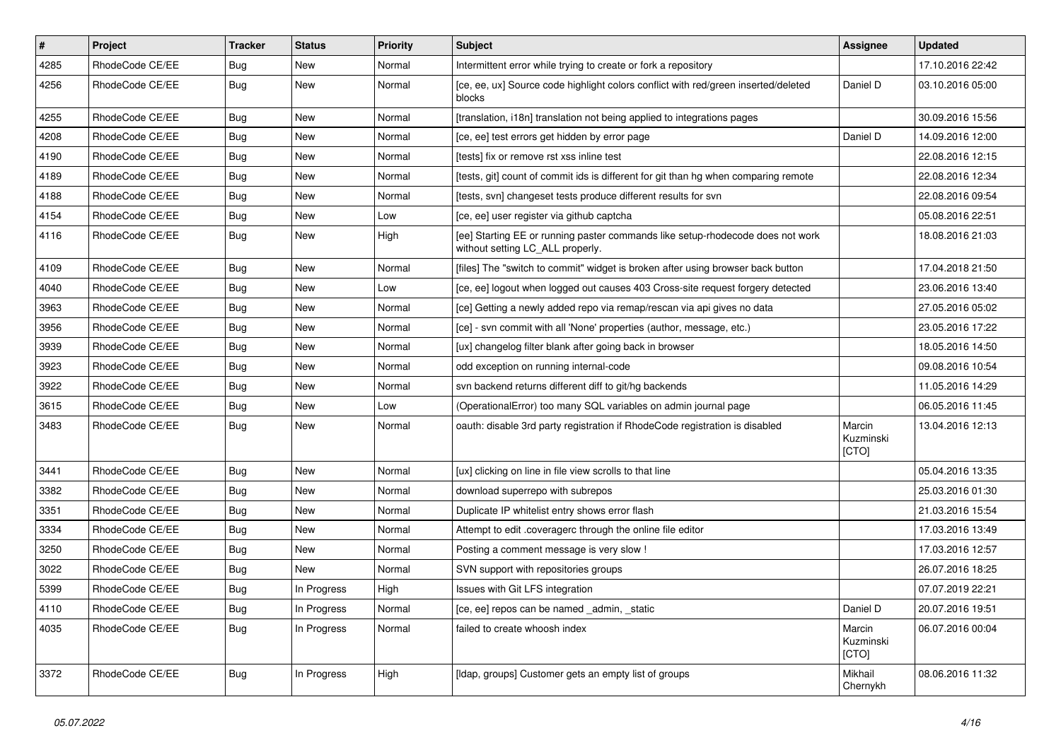| $\vert$ # | Project         | <b>Tracker</b> | <b>Status</b> | <b>Priority</b> | <b>Subject</b>                                                                                                     | <b>Assignee</b>              | <b>Updated</b>   |
|-----------|-----------------|----------------|---------------|-----------------|--------------------------------------------------------------------------------------------------------------------|------------------------------|------------------|
| 4285      | RhodeCode CE/EE | Bug            | New           | Normal          | Intermittent error while trying to create or fork a repository                                                     |                              | 17.10.2016 22:42 |
| 4256      | RhodeCode CE/EE | Bug            | New           | Normal          | [ce, ee, ux] Source code highlight colors conflict with red/green inserted/deleted<br>blocks                       | Daniel D                     | 03.10.2016 05:00 |
| 4255      | RhodeCode CE/EE | Bug            | <b>New</b>    | Normal          | [translation, i18n] translation not being applied to integrations pages                                            |                              | 30.09.2016 15:56 |
| 4208      | RhodeCode CE/EE | <b>Bug</b>     | <b>New</b>    | Normal          | [ce, ee] test errors get hidden by error page                                                                      | Daniel D                     | 14.09.2016 12:00 |
| 4190      | RhodeCode CE/EE | Bug            | New           | Normal          | [tests] fix or remove rst xss inline test                                                                          |                              | 22.08.2016 12:15 |
| 4189      | RhodeCode CE/EE | Bug            | New           | Normal          | Itests, git] count of commit ids is different for git than hg when comparing remote                                |                              | 22.08.2016 12:34 |
| 4188      | RhodeCode CE/EE | Bug            | New           | Normal          | [tests, svn] changeset tests produce different results for svn                                                     |                              | 22.08.2016 09:54 |
| 4154      | RhodeCode CE/EE | Bug            | <b>New</b>    | Low             | [ce, ee] user register via github captcha                                                                          |                              | 05.08.2016 22:51 |
| 4116      | RhodeCode CE/EE | <b>Bug</b>     | New           | High            | [ee] Starting EE or running paster commands like setup-rhodecode does not work<br>without setting LC_ALL properly. |                              | 18.08.2016 21:03 |
| 4109      | RhodeCode CE/EE | Bug            | <b>New</b>    | Normal          | [files] The "switch to commit" widget is broken after using browser back button                                    |                              | 17.04.2018 21:50 |
| 4040      | RhodeCode CE/EE | Bug            | <b>New</b>    | Low             | [ce, ee] logout when logged out causes 403 Cross-site request forgery detected                                     |                              | 23.06.2016 13:40 |
| 3963      | RhodeCode CE/EE | Bug            | New           | Normal          | [ce] Getting a newly added repo via remap/rescan via api gives no data                                             |                              | 27.05.2016 05:02 |
| 3956      | RhodeCode CE/EE | Bug            | New           | Normal          | [ce] - svn commit with all 'None' properties (author, message, etc.)                                               |                              | 23.05.2016 17:22 |
| 3939      | RhodeCode CE/EE | Bug            | New           | Normal          | [ux] changelog filter blank after going back in browser                                                            |                              | 18.05.2016 14:50 |
| 3923      | RhodeCode CE/EE | Bug            | New           | Normal          | odd exception on running internal-code                                                                             |                              | 09.08.2016 10:54 |
| 3922      | RhodeCode CE/EE | <b>Bug</b>     | <b>New</b>    | Normal          | svn backend returns different diff to git/hg backends                                                              |                              | 11.05.2016 14:29 |
| 3615      | RhodeCode CE/EE | Bug            | New           | Low             | (OperationalError) too many SQL variables on admin journal page                                                    |                              | 06.05.2016 11:45 |
| 3483      | RhodeCode CE/EE | Bug            | <b>New</b>    | Normal          | oauth: disable 3rd party registration if RhodeCode registration is disabled                                        | Marcin<br>Kuzminski<br>[CTO] | 13.04.2016 12:13 |
| 3441      | RhodeCode CE/EE | Bug            | <b>New</b>    | Normal          | [ux] clicking on line in file view scrolls to that line                                                            |                              | 05.04.2016 13:35 |
| 3382      | RhodeCode CE/EE | Bug            | New           | Normal          | download superrepo with subrepos                                                                                   |                              | 25.03.2016 01:30 |
| 3351      | RhodeCode CE/EE | Bug            | <b>New</b>    | Normal          | Duplicate IP whitelist entry shows error flash                                                                     |                              | 21.03.2016 15:54 |
| 3334      | RhodeCode CE/EE | <b>Bug</b>     | New           | Normal          | Attempt to edit .coveragerc through the online file editor                                                         |                              | 17.03.2016 13:49 |
| 3250      | RhodeCode CE/EE | Bug            | New           | Normal          | Posting a comment message is very slow !                                                                           |                              | 17.03.2016 12:57 |
| 3022      | RhodeCode CE/EE | Bug            | <b>New</b>    | Normal          | SVN support with repositories groups                                                                               |                              | 26.07.2016 18:25 |
| 5399      | RhodeCode CE/EE | Bug            | In Progress   | High            | Issues with Git LFS integration                                                                                    |                              | 07.07.2019 22:21 |
| 4110      | RhodeCode CE/EE | <b>Bug</b>     | In Progress   | Normal          | [ce, ee] repos can be named _admin, _static                                                                        | Daniel D                     | 20.07.2016 19:51 |
| 4035      | RhodeCode CE/EE | <b>Bug</b>     | In Progress   | Normal          | failed to create whoosh index                                                                                      | Marcin<br>Kuzminski<br>[CTO] | 06.07.2016 00:04 |
| 3372      | RhodeCode CE/EE | <b>Bug</b>     | In Progress   | High            | [Idap, groups] Customer gets an empty list of groups                                                               | Mikhail<br>Chernykh          | 08.06.2016 11:32 |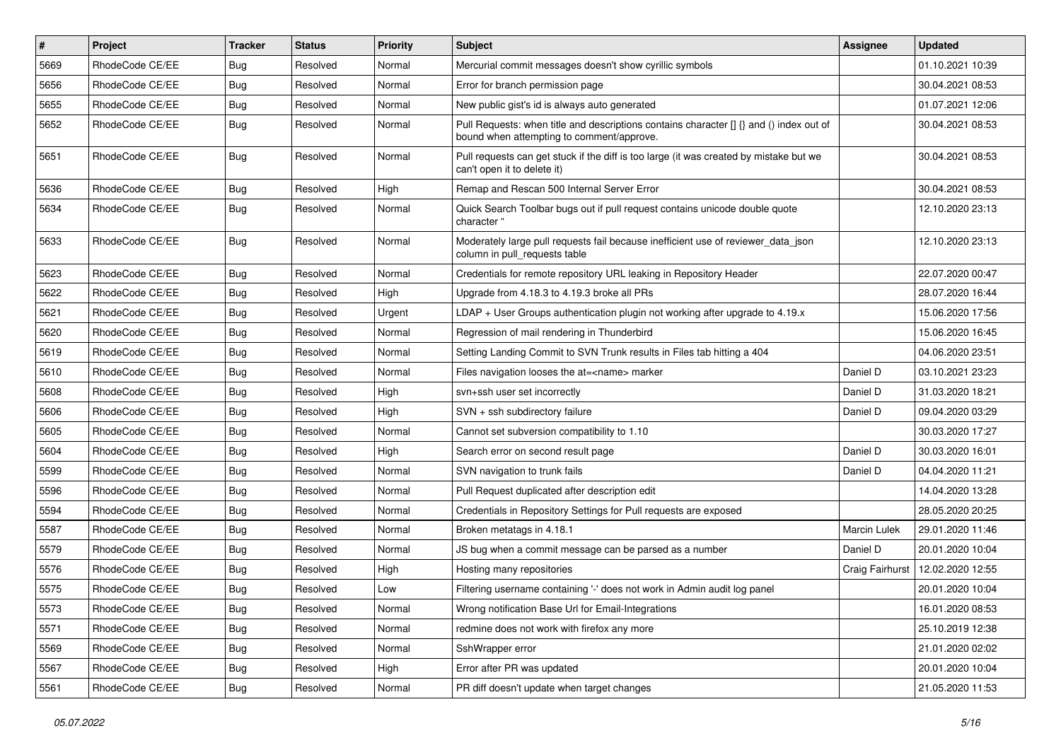| $\sharp$ | Project         | Tracker    | <b>Status</b> | <b>Priority</b> | <b>Subject</b>                                                                                                                       | Assignee            | Updated          |
|----------|-----------------|------------|---------------|-----------------|--------------------------------------------------------------------------------------------------------------------------------------|---------------------|------------------|
| 5669     | RhodeCode CE/EE | <b>Bug</b> | Resolved      | Normal          | Mercurial commit messages doesn't show cyrillic symbols                                                                              |                     | 01.10.2021 10:39 |
| 5656     | RhodeCode CE/EE | Bug        | Resolved      | Normal          | Error for branch permission page                                                                                                     |                     | 30.04.2021 08:53 |
| 5655     | RhodeCode CE/EE | <b>Bug</b> | Resolved      | Normal          | New public gist's id is always auto generated                                                                                        |                     | 01.07.2021 12:06 |
| 5652     | RhodeCode CE/EE | Bug        | Resolved      | Normal          | Pull Requests: when title and descriptions contains character [] {} and () index out of<br>bound when attempting to comment/approve. |                     | 30.04.2021 08:53 |
| 5651     | RhodeCode CE/EE | <b>Bug</b> | Resolved      | Normal          | Pull requests can get stuck if the diff is too large (it was created by mistake but we<br>can't open it to delete it)                |                     | 30.04.2021 08:53 |
| 5636     | RhodeCode CE/EE | <b>Bug</b> | Resolved      | High            | Remap and Rescan 500 Internal Server Error                                                                                           |                     | 30.04.2021 08:53 |
| 5634     | RhodeCode CE/EE | <b>Bug</b> | Resolved      | Normal          | Quick Search Toolbar bugs out if pull request contains unicode double quote<br>character "                                           |                     | 12.10.2020 23:13 |
| 5633     | RhodeCode CE/EE | Bug        | Resolved      | Normal          | Moderately large pull requests fail because inefficient use of reviewer_data_json<br>column in pull requests table                   |                     | 12.10.2020 23:13 |
| 5623     | RhodeCode CE/EE | Bug        | Resolved      | Normal          | Credentials for remote repository URL leaking in Repository Header                                                                   |                     | 22.07.2020 00:47 |
| 5622     | RhodeCode CE/EE | <b>Bug</b> | Resolved      | High            | Upgrade from 4.18.3 to 4.19.3 broke all PRs                                                                                          |                     | 28.07.2020 16:44 |
| 5621     | RhodeCode CE/EE | Bug        | Resolved      | Urgent          | $LDAP + User Groups authentication playing not working after upgrade to 4.19.x$                                                      |                     | 15.06.2020 17:56 |
| 5620     | RhodeCode CE/EE | <b>Bug</b> | Resolved      | Normal          | Regression of mail rendering in Thunderbird                                                                                          |                     | 15.06.2020 16:45 |
| 5619     | RhodeCode CE/EE | <b>Bug</b> | Resolved      | Normal          | Setting Landing Commit to SVN Trunk results in Files tab hitting a 404                                                               |                     | 04.06.2020 23:51 |
| 5610     | RhodeCode CE/EE | <b>Bug</b> | Resolved      | Normal          | Files navigation looses the at= <name> marker</name>                                                                                 | Daniel D            | 03.10.2021 23:23 |
| 5608     | RhodeCode CE/EE | <b>Bug</b> | Resolved      | High            | svn+ssh user set incorrectly                                                                                                         | Daniel D            | 31.03.2020 18:21 |
| 5606     | RhodeCode CE/EE | <b>Bug</b> | Resolved      | High            | SVN + ssh subdirectory failure                                                                                                       | Daniel D            | 09.04.2020 03:29 |
| 5605     | RhodeCode CE/EE | <b>Bug</b> | Resolved      | Normal          | Cannot set subversion compatibility to 1.10                                                                                          |                     | 30.03.2020 17:27 |
| 5604     | RhodeCode CE/EE | <b>Bug</b> | Resolved      | High            | Search error on second result page                                                                                                   | Daniel D            | 30.03.2020 16:01 |
| 5599     | RhodeCode CE/EE | <b>Bug</b> | Resolved      | Normal          | SVN navigation to trunk fails                                                                                                        | Daniel D            | 04.04.2020 11:21 |
| 5596     | RhodeCode CE/EE | <b>Bug</b> | Resolved      | Normal          | Pull Request duplicated after description edit                                                                                       |                     | 14.04.2020 13:28 |
| 5594     | RhodeCode CE/EE | <b>Bug</b> | Resolved      | Normal          | Credentials in Repository Settings for Pull requests are exposed                                                                     |                     | 28.05.2020 20:25 |
| 5587     | RhodeCode CE/EE | <b>Bug</b> | Resolved      | Normal          | Broken metatags in 4.18.1                                                                                                            | <b>Marcin Lulek</b> | 29.01.2020 11:46 |
| 5579     | RhodeCode CE/EE | <b>Bug</b> | Resolved      | Normal          | JS bug when a commit message can be parsed as a number                                                                               | Daniel D            | 20.01.2020 10:04 |
| 5576     | RhodeCode CE/EE | <b>Bug</b> | Resolved      | High            | Hosting many repositories                                                                                                            | Craig Fairhurst     | 12.02.2020 12:55 |
| 5575     | RhodeCode CE/EE | <b>Bug</b> | Resolved      | Low             | Filtering username containing '-' does not work in Admin audit log panel                                                             |                     | 20.01.2020 10:04 |
| 5573     | RhodeCode CE/EE | <b>Bug</b> | Resolved      | Normal          | Wrong notification Base Url for Email-Integrations                                                                                   |                     | 16.01.2020 08:53 |
| 5571     | RhodeCode CE/EE | Bug        | Resolved      | Normal          | redmine does not work with firefox any more                                                                                          |                     | 25.10.2019 12:38 |
| 5569     | RhodeCode CE/EE | <b>Bug</b> | Resolved      | Normal          | SshWrapper error                                                                                                                     |                     | 21.01.2020 02:02 |
| 5567     | RhodeCode CE/EE | Bug        | Resolved      | High            | Error after PR was updated                                                                                                           |                     | 20.01.2020 10:04 |
| 5561     | RhodeCode CE/EE | <b>Bug</b> | Resolved      | Normal          | PR diff doesn't update when target changes                                                                                           |                     | 21.05.2020 11:53 |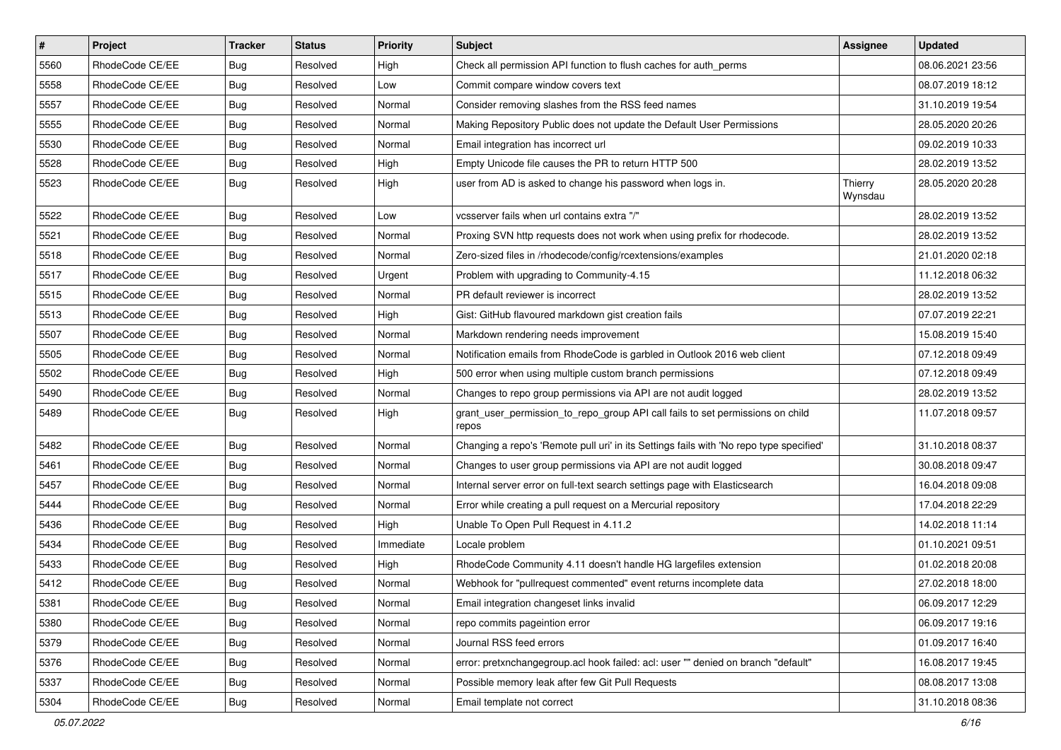| $\pmb{\#}$ | Project         | <b>Tracker</b> | <b>Status</b> | <b>Priority</b> | Subject                                                                                 | <b>Assignee</b>    | <b>Updated</b>   |
|------------|-----------------|----------------|---------------|-----------------|-----------------------------------------------------------------------------------------|--------------------|------------------|
| 5560       | RhodeCode CE/EE | <b>Bug</b>     | Resolved      | High            | Check all permission API function to flush caches for auth perms                        |                    | 08.06.2021 23:56 |
| 5558       | RhodeCode CE/EE | Bug            | Resolved      | Low             | Commit compare window covers text                                                       |                    | 08.07.2019 18:12 |
| 5557       | RhodeCode CE/EE | Bug            | Resolved      | Normal          | Consider removing slashes from the RSS feed names                                       |                    | 31.10.2019 19:54 |
| 5555       | RhodeCode CE/EE | <b>Bug</b>     | Resolved      | Normal          | Making Repository Public does not update the Default User Permissions                   |                    | 28.05.2020 20:26 |
| 5530       | RhodeCode CE/EE | <b>Bug</b>     | Resolved      | Normal          | Email integration has incorrect url                                                     |                    | 09.02.2019 10:33 |
| 5528       | RhodeCode CE/EE | Bug            | Resolved      | High            | Empty Unicode file causes the PR to return HTTP 500                                     |                    | 28.02.2019 13:52 |
| 5523       | RhodeCode CE/EE | <b>Bug</b>     | Resolved      | High            | user from AD is asked to change his password when logs in.                              | Thierry<br>Wynsdau | 28.05.2020 20:28 |
| 5522       | RhodeCode CE/EE | Bug            | Resolved      | Low             | vcsserver fails when url contains extra "/"                                             |                    | 28.02.2019 13:52 |
| 5521       | RhodeCode CE/EE | <b>Bug</b>     | Resolved      | Normal          | Proxing SVN http requests does not work when using prefix for rhodecode.                |                    | 28.02.2019 13:52 |
| 5518       | RhodeCode CE/EE | Bug            | Resolved      | Normal          | Zero-sized files in /rhodecode/config/rcextensions/examples                             |                    | 21.01.2020 02:18 |
| 5517       | RhodeCode CE/EE | <b>Bug</b>     | Resolved      | Urgent          | Problem with upgrading to Community-4.15                                                |                    | 11.12.2018 06:32 |
| 5515       | RhodeCode CE/EE | Bug            | Resolved      | Normal          | PR default reviewer is incorrect                                                        |                    | 28.02.2019 13:52 |
| 5513       | RhodeCode CE/EE | Bug            | Resolved      | High            | Gist: GitHub flavoured markdown gist creation fails                                     |                    | 07.07.2019 22:21 |
| 5507       | RhodeCode CE/EE | <b>Bug</b>     | Resolved      | Normal          | Markdown rendering needs improvement                                                    |                    | 15.08.2019 15:40 |
| 5505       | RhodeCode CE/EE | Bug            | Resolved      | Normal          | Notification emails from RhodeCode is garbled in Outlook 2016 web client                |                    | 07.12.2018 09:49 |
| 5502       | RhodeCode CE/EE | <b>Bug</b>     | Resolved      | High            | 500 error when using multiple custom branch permissions                                 |                    | 07.12.2018 09:49 |
| 5490       | RhodeCode CE/EE | <b>Bug</b>     | Resolved      | Normal          | Changes to repo group permissions via API are not audit logged                          |                    | 28.02.2019 13:52 |
| 5489       | RhodeCode CE/EE | Bug            | Resolved      | High            | grant_user_permission_to_repo_group API call fails to set permissions on child<br>repos |                    | 11.07.2018 09:57 |
| 5482       | RhodeCode CE/EE | Bug            | Resolved      | Normal          | Changing a repo's 'Remote pull uri' in its Settings fails with 'No repo type specified' |                    | 31.10.2018 08:37 |
| 5461       | RhodeCode CE/EE | <b>Bug</b>     | Resolved      | Normal          | Changes to user group permissions via API are not audit logged                          |                    | 30.08.2018 09:47 |
| 5457       | RhodeCode CE/EE | <b>Bug</b>     | Resolved      | Normal          | Internal server error on full-text search settings page with Elasticsearch              |                    | 16.04.2018 09:08 |
| 5444       | RhodeCode CE/EE | Bug            | Resolved      | Normal          | Error while creating a pull request on a Mercurial repository                           |                    | 17.04.2018 22:29 |
| 5436       | RhodeCode CE/EE | <b>Bug</b>     | Resolved      | High            | Unable To Open Pull Request in 4.11.2                                                   |                    | 14.02.2018 11:14 |
| 5434       | RhodeCode CE/EE | <b>Bug</b>     | Resolved      | Immediate       | Locale problem                                                                          |                    | 01.10.2021 09:51 |
| 5433       | RhodeCode CE/EE | <b>Bug</b>     | Resolved      | High            | RhodeCode Community 4.11 doesn't handle HG largefiles extension                         |                    | 01.02.2018 20:08 |
| 5412       | RhodeCode CE/EE | Bug            | Resolved      | Normal          | Webhook for "pullrequest commented" event returns incomplete data                       |                    | 27.02.2018 18:00 |
| 5381       | RhodeCode CE/EE | Bug            | Resolved      | Normal          | Email integration changeset links invalid                                               |                    | 06.09.2017 12:29 |
| 5380       | RhodeCode CE/EE | Bug            | Resolved      | Normal          | repo commits pageintion error                                                           |                    | 06.09.2017 19:16 |
| 5379       | RhodeCode CE/EE | Bug            | Resolved      | Normal          | Journal RSS feed errors                                                                 |                    | 01.09.2017 16:40 |
| 5376       | RhodeCode CE/EE | <b>Bug</b>     | Resolved      | Normal          | error: pretxnchangegroup.acl hook failed: acl: user "" denied on branch "default"       |                    | 16.08.2017 19:45 |
| 5337       | RhodeCode CE/EE | <b>Bug</b>     | Resolved      | Normal          | Possible memory leak after few Git Pull Requests                                        |                    | 08.08.2017 13:08 |
| 5304       | RhodeCode CE/EE | <b>Bug</b>     | Resolved      | Normal          | Email template not correct                                                              |                    | 31.10.2018 08:36 |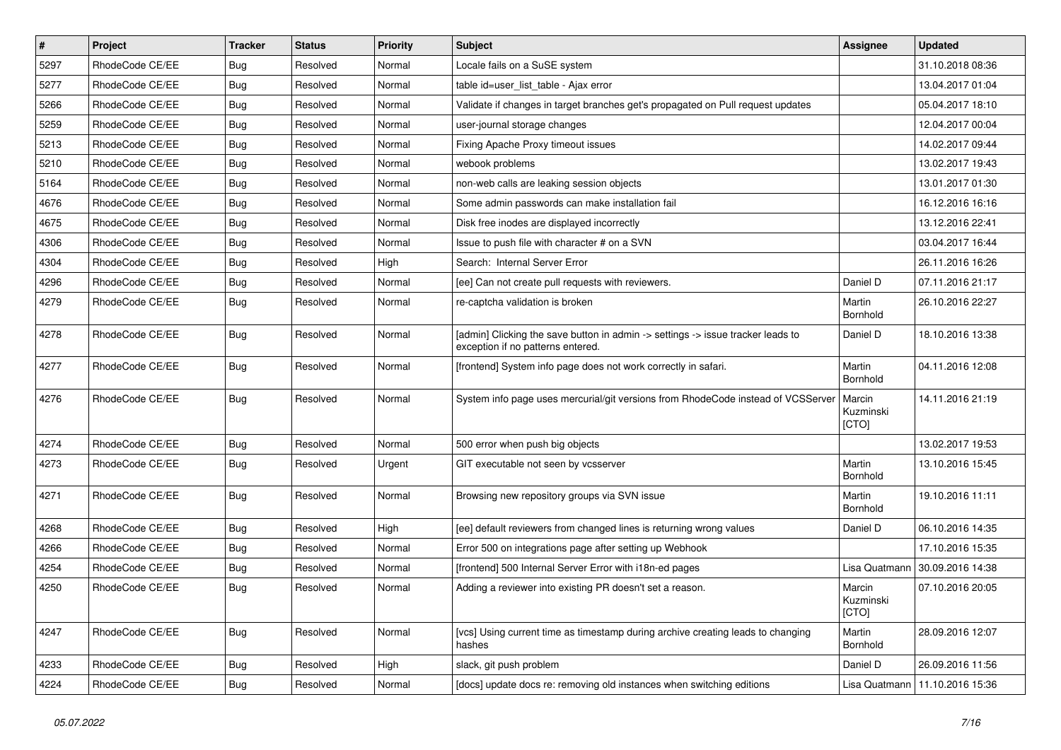| $\vert$ # | Project         | <b>Tracker</b> | <b>Status</b> | <b>Priority</b> | <b>Subject</b>                                                                                                       | <b>Assignee</b>              | <b>Updated</b>   |
|-----------|-----------------|----------------|---------------|-----------------|----------------------------------------------------------------------------------------------------------------------|------------------------------|------------------|
| 5297      | RhodeCode CE/EE | Bug            | Resolved      | Normal          | Locale fails on a SuSE system                                                                                        |                              | 31.10.2018 08:36 |
| 5277      | RhodeCode CE/EE | Bug            | Resolved      | Normal          | table id=user_list_table - Ajax error                                                                                |                              | 13.04.2017 01:04 |
| 5266      | RhodeCode CE/EE | Bug            | Resolved      | Normal          | Validate if changes in target branches get's propagated on Pull request updates                                      |                              | 05.04.2017 18:10 |
| 5259      | RhodeCode CE/EE | Bug            | Resolved      | Normal          | user-journal storage changes                                                                                         |                              | 12.04.2017 00:04 |
| 5213      | RhodeCode CE/EE | <b>Bug</b>     | Resolved      | Normal          | Fixing Apache Proxy timeout issues                                                                                   |                              | 14.02.2017 09:44 |
| 5210      | RhodeCode CE/EE | Bug            | Resolved      | Normal          | webook problems                                                                                                      |                              | 13.02.2017 19:43 |
| 5164      | RhodeCode CE/EE | Bug            | Resolved      | Normal          | non-web calls are leaking session objects                                                                            |                              | 13.01.2017 01:30 |
| 4676      | RhodeCode CE/EE | Bug            | Resolved      | Normal          | Some admin passwords can make installation fail                                                                      |                              | 16.12.2016 16:16 |
| 4675      | RhodeCode CE/EE | Bug            | Resolved      | Normal          | Disk free inodes are displayed incorrectly                                                                           |                              | 13.12.2016 22:41 |
| 4306      | RhodeCode CE/EE | Bug            | Resolved      | Normal          | Issue to push file with character # on a SVN                                                                         |                              | 03.04.2017 16:44 |
| 4304      | RhodeCode CE/EE | Bug            | Resolved      | High            | Search: Internal Server Error                                                                                        |                              | 26.11.2016 16:26 |
| 4296      | RhodeCode CE/EE | Bug            | Resolved      | Normal          | [ee] Can not create pull requests with reviewers.                                                                    | Daniel D                     | 07.11.2016 21:17 |
| 4279      | RhodeCode CE/EE | Bug            | Resolved      | Normal          | re-captcha validation is broken                                                                                      | Martin<br>Bornhold           | 26.10.2016 22:27 |
| 4278      | RhodeCode CE/EE | Bug            | Resolved      | Normal          | [admin] Clicking the save button in admin -> settings -> issue tracker leads to<br>exception if no patterns entered. | Daniel D                     | 18.10.2016 13:38 |
| 4277      | RhodeCode CE/EE | Bug            | Resolved      | Normal          | [frontend] System info page does not work correctly in safari.                                                       | Martin<br>Bornhold           | 04.11.2016 12:08 |
| 4276      | RhodeCode CE/EE | Bug            | Resolved      | Normal          | System info page uses mercurial/git versions from RhodeCode instead of VCSServer                                     | Marcin<br>Kuzminski<br>[CTO] | 14.11.2016 21:19 |
| 4274      | RhodeCode CE/EE | <b>Bug</b>     | Resolved      | Normal          | 500 error when push big objects                                                                                      |                              | 13.02.2017 19:53 |
| 4273      | RhodeCode CE/EE | Bug            | Resolved      | Urgent          | GIT executable not seen by vcsserver                                                                                 | Martin<br>Bornhold           | 13.10.2016 15:45 |
| 4271      | RhodeCode CE/EE | Bug            | Resolved      | Normal          | Browsing new repository groups via SVN issue                                                                         | Martin<br>Bornhold           | 19.10.2016 11:11 |
| 4268      | RhodeCode CE/EE | Bug            | Resolved      | High            | [ee] default reviewers from changed lines is returning wrong values                                                  | Daniel D                     | 06.10.2016 14:35 |
| 4266      | RhodeCode CE/EE | Bug            | Resolved      | Normal          | Error 500 on integrations page after setting up Webhook                                                              |                              | 17.10.2016 15:35 |
| 4254      | RhodeCode CE/EE | Bug            | Resolved      | Normal          | [frontend] 500 Internal Server Error with i18n-ed pages                                                              | Lisa Quatmann                | 30.09.2016 14:38 |
| 4250      | RhodeCode CE/EE | Bug            | Resolved      | Normal          | Adding a reviewer into existing PR doesn't set a reason.                                                             | Marcin<br>Kuzminski<br>[CTO] | 07.10.2016 20:05 |
| 4247      | RhodeCode CE/EE | Bug            | Resolved      | Normal          | [vcs] Using current time as timestamp during archive creating leads to changing<br>hashes                            | Martin<br>Bornhold           | 28.09.2016 12:07 |
| 4233      | RhodeCode CE/EE | Bug            | Resolved      | High            | slack, git push problem                                                                                              | Daniel D                     | 26.09.2016 11:56 |
| 4224      | RhodeCode CE/EE | <b>Bug</b>     | Resolved      | Normal          | [docs] update docs re: removing old instances when switching editions                                                | Lisa Quatmann                | 11.10.2016 15:36 |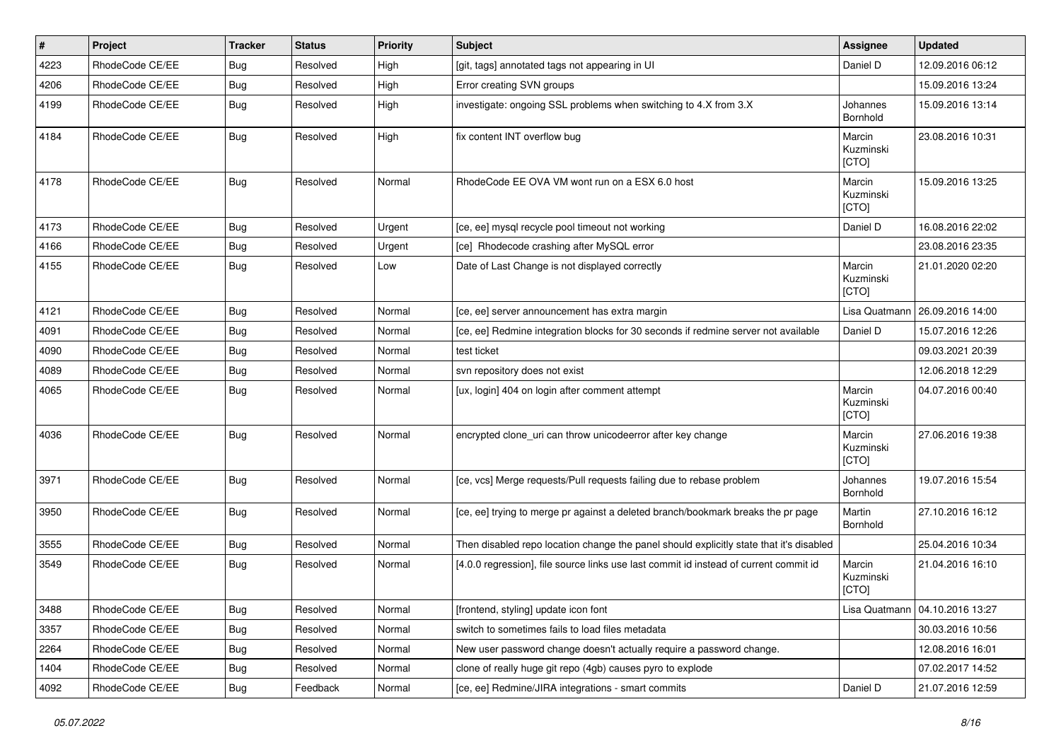| $\vert$ # | Project         | Tracker    | <b>Status</b> | <b>Priority</b> | <b>Subject</b>                                                                          | Assignee                     | <b>Updated</b>                   |
|-----------|-----------------|------------|---------------|-----------------|-----------------------------------------------------------------------------------------|------------------------------|----------------------------------|
| 4223      | RhodeCode CE/EE | Bug        | Resolved      | High            | [git, tags] annotated tags not appearing in UI                                          | Daniel D                     | 12.09.2016 06:12                 |
| 4206      | RhodeCode CE/EE | Bug        | Resolved      | High            | Error creating SVN groups                                                               |                              | 15.09.2016 13:24                 |
| 4199      | RhodeCode CE/EE | Bug        | Resolved      | High            | investigate: ongoing SSL problems when switching to 4.X from 3.X                        | Johannes<br>Bornhold         | 15.09.2016 13:14                 |
| 4184      | RhodeCode CE/EE | Bug        | Resolved      | High            | fix content INT overflow bug                                                            | Marcin<br>Kuzminski<br>[CTO] | 23.08.2016 10:31                 |
| 4178      | RhodeCode CE/EE | Bug        | Resolved      | Normal          | RhodeCode EE OVA VM wont run on a ESX 6.0 host                                          | Marcin<br>Kuzminski<br>[CTO] | 15.09.2016 13:25                 |
| 4173      | RhodeCode CE/EE | Bug        | Resolved      | Urgent          | [ce, ee] mysql recycle pool timeout not working                                         | Daniel D                     | 16.08.2016 22:02                 |
| 4166      | RhodeCode CE/EE | Bug        | Resolved      | Urgent          | [ce] Rhodecode crashing after MySQL error                                               |                              | 23.08.2016 23:35                 |
| 4155      | RhodeCode CE/EE | <b>Bug</b> | Resolved      | Low             | Date of Last Change is not displayed correctly                                          | Marcin<br>Kuzminski<br>[CTO] | 21.01.2020 02:20                 |
| 4121      | RhodeCode CE/EE | Bug        | Resolved      | Normal          | [ce, ee] server announcement has extra margin                                           | Lisa Quatmann                | 26.09.2016 14:00                 |
| 4091      | RhodeCode CE/EE | Bug        | Resolved      | Normal          | [ce, ee] Redmine integration blocks for 30 seconds if redmine server not available      | Daniel D                     | 15.07.2016 12:26                 |
| 4090      | RhodeCode CE/EE | Bug        | Resolved      | Normal          | test ticket                                                                             |                              | 09.03.2021 20:39                 |
| 4089      | RhodeCode CE/EE | Bug        | Resolved      | Normal          | svn repository does not exist                                                           |                              | 12.06.2018 12:29                 |
| 4065      | RhodeCode CE/EE | Bug        | Resolved      | Normal          | [ux, login] 404 on login after comment attempt                                          | Marcin<br>Kuzminski<br>[CTO] | 04.07.2016 00:40                 |
| 4036      | RhodeCode CE/EE | Bug        | Resolved      | Normal          | encrypted clone_uri can throw unicodeerror after key change                             | Marcin<br>Kuzminski<br>[CTO] | 27.06.2016 19:38                 |
| 3971      | RhodeCode CE/EE | Bug        | Resolved      | Normal          | [ce, vcs] Merge requests/Pull requests failing due to rebase problem                    | Johannes<br>Bornhold         | 19.07.2016 15:54                 |
| 3950      | RhodeCode CE/EE | Bug        | Resolved      | Normal          | [ce, ee] trying to merge pr against a deleted branch/bookmark breaks the pr page        | Martin<br>Bornhold           | 27.10.2016 16:12                 |
| 3555      | RhodeCode CE/EE | Bug        | Resolved      | Normal          | Then disabled repo location change the panel should explicitly state that it's disabled |                              | 25.04.2016 10:34                 |
| 3549      | RhodeCode CE/EE | Bug        | Resolved      | Normal          | [4.0.0 regression], file source links use last commit id instead of current commit id   | Marcin<br>Kuzminski<br>[CTO] | 21.04.2016 16:10                 |
| 3488      | RhodeCode CE/EE | Bug        | Resolved      | Normal          | [frontend, styling] update icon font                                                    |                              | Lisa Quatmann   04.10.2016 13:27 |
| 3357      | RhodeCode CE/EE | Bug        | Resolved      | Normal          | switch to sometimes fails to load files metadata                                        |                              | 30.03.2016 10:56                 |
| 2264      | RhodeCode CE/EE | <b>Bug</b> | Resolved      | Normal          | New user password change doesn't actually require a password change.                    |                              | 12.08.2016 16:01                 |
| 1404      | RhodeCode CE/EE | <b>Bug</b> | Resolved      | Normal          | clone of really huge git repo (4gb) causes pyro to explode                              |                              | 07.02.2017 14:52                 |
| 4092      | RhodeCode CE/EE | <b>Bug</b> | Feedback      | Normal          | [ce, ee] Redmine/JIRA integrations - smart commits                                      | Daniel D                     | 21.07.2016 12:59                 |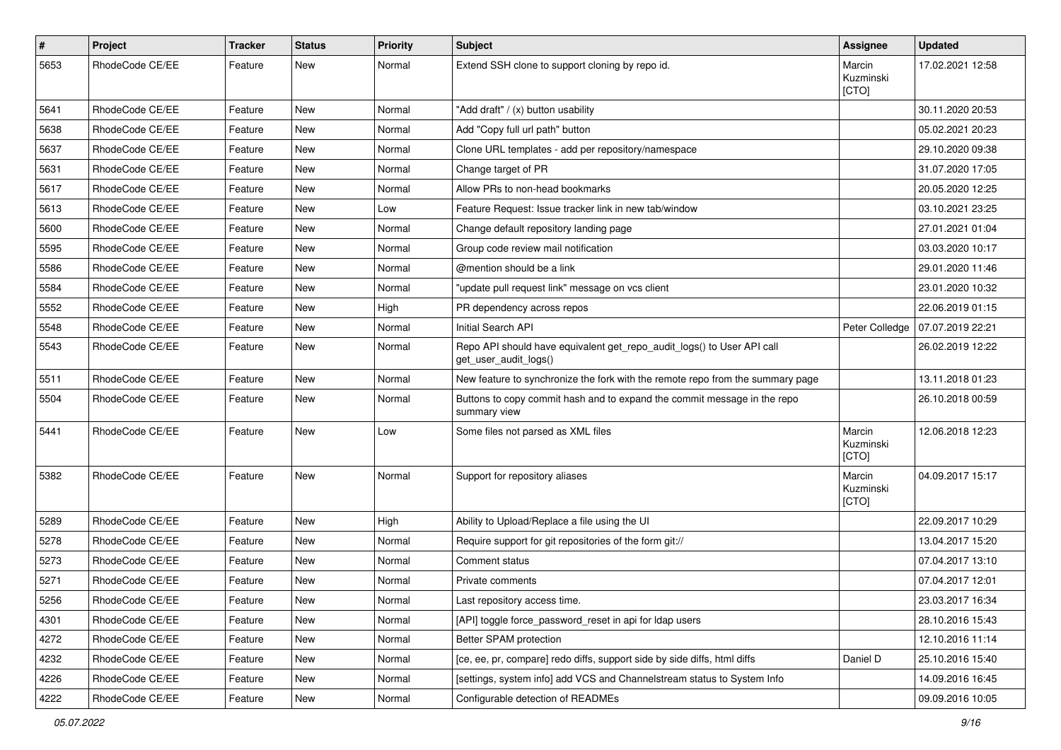| $\#$ | Project         | Tracker | <b>Status</b> | <b>Priority</b> | Subject                                                                                         | Assignee                     | <b>Updated</b>   |
|------|-----------------|---------|---------------|-----------------|-------------------------------------------------------------------------------------------------|------------------------------|------------------|
| 5653 | RhodeCode CE/EE | Feature | New           | Normal          | Extend SSH clone to support cloning by repo id.                                                 | Marcin<br>Kuzminski<br>[CTO] | 17.02.2021 12:58 |
| 5641 | RhodeCode CE/EE | Feature | New           | Normal          | "Add draft" / (x) button usability                                                              |                              | 30.11.2020 20:53 |
| 5638 | RhodeCode CE/EE | Feature | <b>New</b>    | Normal          | Add "Copy full url path" button                                                                 |                              | 05.02.2021 20:23 |
| 5637 | RhodeCode CE/EE | Feature | New           | Normal          | Clone URL templates - add per repository/namespace                                              |                              | 29.10.2020 09:38 |
| 5631 | RhodeCode CE/EE | Feature | New           | Normal          | Change target of PR                                                                             |                              | 31.07.2020 17:05 |
| 5617 | RhodeCode CE/EE | Feature | New           | Normal          | Allow PRs to non-head bookmarks                                                                 |                              | 20.05.2020 12:25 |
| 5613 | RhodeCode CE/EE | Feature | New           | Low             | Feature Request: Issue tracker link in new tab/window                                           |                              | 03.10.2021 23:25 |
| 5600 | RhodeCode CE/EE | Feature | New           | Normal          | Change default repository landing page                                                          |                              | 27.01.2021 01:04 |
| 5595 | RhodeCode CE/EE | Feature | New           | Normal          | Group code review mail notification                                                             |                              | 03.03.2020 10:17 |
| 5586 | RhodeCode CE/EE | Feature | New           | Normal          | @mention should be a link                                                                       |                              | 29.01.2020 11:46 |
| 5584 | RhodeCode CE/EE | Feature | New           | Normal          | "update pull request link" message on vcs client                                                |                              | 23.01.2020 10:32 |
| 5552 | RhodeCode CE/EE | Feature | New           | High            | PR dependency across repos                                                                      |                              | 22.06.2019 01:15 |
| 5548 | RhodeCode CE/EE | Feature | New           | Normal          | Initial Search API                                                                              | Peter Colledge               | 07.07.2019 22:21 |
| 5543 | RhodeCode CE/EE | Feature | New           | Normal          | Repo API should have equivalent get_repo_audit_logs() to User API call<br>get user_audit_logs() |                              | 26.02.2019 12:22 |
| 5511 | RhodeCode CE/EE | Feature | New           | Normal          | New feature to synchronize the fork with the remote repo from the summary page                  |                              | 13.11.2018 01:23 |
| 5504 | RhodeCode CE/EE | Feature | New           | Normal          | Buttons to copy commit hash and to expand the commit message in the repo<br>summary view        |                              | 26.10.2018 00:59 |
| 5441 | RhodeCode CE/EE | Feature | New           | Low             | Some files not parsed as XML files                                                              | Marcin<br>Kuzminski<br>[CTO] | 12.06.2018 12:23 |
| 5382 | RhodeCode CE/EE | Feature | New           | Normal          | Support for repository aliases                                                                  | Marcin<br>Kuzminski<br>[CTO] | 04.09.2017 15:17 |
| 5289 | RhodeCode CE/EE | Feature | New           | High            | Ability to Upload/Replace a file using the UI                                                   |                              | 22.09.2017 10:29 |
| 5278 | RhodeCode CE/EE | Feature | New           | Normal          | Require support for git repositories of the form git://                                         |                              | 13.04.2017 15:20 |
| 5273 | RhodeCode CE/EE | Feature | New           | Normal          | Comment status                                                                                  |                              | 07.04.2017 13:10 |
| 5271 | RhodeCode CE/EE | Feature | New           | Normal          | Private comments                                                                                |                              | 07.04.2017 12:01 |
| 5256 | RhodeCode CE/EE | Feature | New           | Normal          | Last repository access time.                                                                    |                              | 23.03.2017 16:34 |
| 4301 | RhodeCode CE/EE | Feature | New           | Normal          | [API] toggle force password reset in api for Idap users                                         |                              | 28.10.2016 15:43 |
| 4272 | RhodeCode CE/EE | Feature | New           | Normal          | Better SPAM protection                                                                          |                              | 12.10.2016 11:14 |
| 4232 | RhodeCode CE/EE | Feature | New           | Normal          | [ce, ee, pr, compare] redo diffs, support side by side diffs, html diffs                        | Daniel D                     | 25.10.2016 15:40 |
| 4226 | RhodeCode CE/EE | Feature | New           | Normal          | [settings, system info] add VCS and Channelstream status to System Info                         |                              | 14.09.2016 16:45 |
| 4222 | RhodeCode CE/EE | Feature | New           | Normal          | Configurable detection of READMEs                                                               |                              | 09.09.2016 10:05 |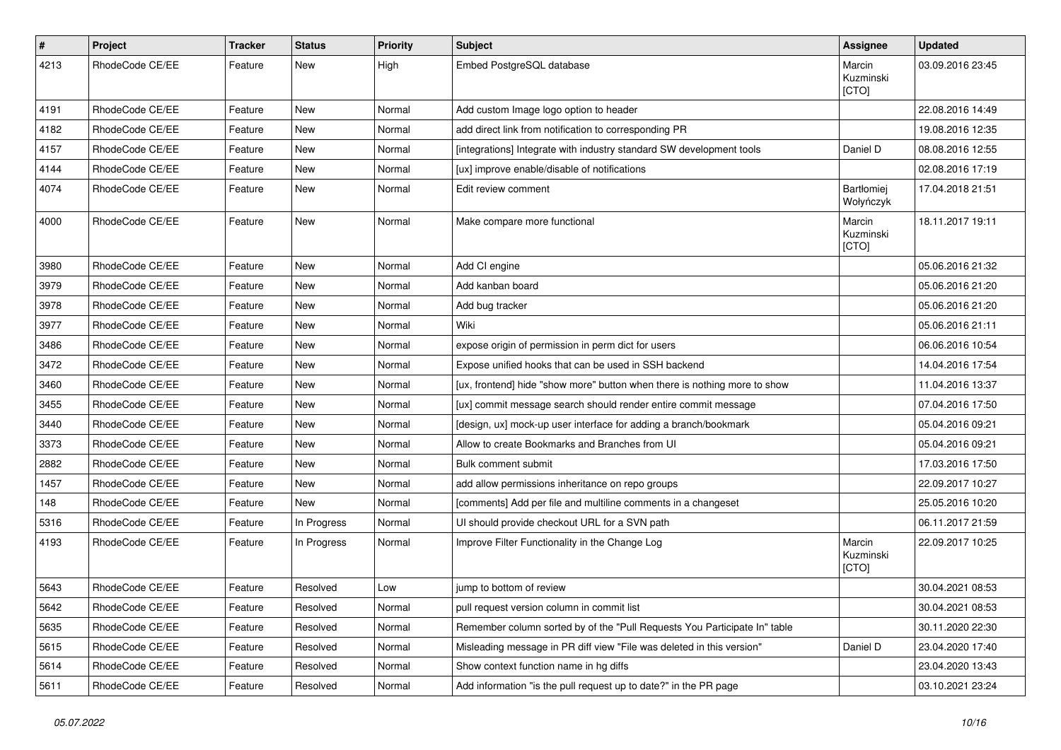| $\pmb{\#}$ | Project         | <b>Tracker</b> | <b>Status</b> | <b>Priority</b> | <b>Subject</b>                                                            | Assignee                     | <b>Updated</b>   |
|------------|-----------------|----------------|---------------|-----------------|---------------------------------------------------------------------------|------------------------------|------------------|
| 4213       | RhodeCode CE/EE | Feature        | New           | High            | Embed PostgreSQL database                                                 | Marcin<br>Kuzminski<br>[CTO] | 03.09.2016 23:45 |
| 4191       | RhodeCode CE/EE | Feature        | <b>New</b>    | Normal          | Add custom Image logo option to header                                    |                              | 22.08.2016 14:49 |
| 4182       | RhodeCode CE/EE | Feature        | <b>New</b>    | Normal          | add direct link from notification to corresponding PR                     |                              | 19.08.2016 12:35 |
| 4157       | RhodeCode CE/EE | Feature        | New           | Normal          | [integrations] Integrate with industry standard SW development tools      | Daniel D                     | 08.08.2016 12:55 |
| 4144       | RhodeCode CE/EE | Feature        | <b>New</b>    | Normal          | [ux] improve enable/disable of notifications                              |                              | 02.08.2016 17:19 |
| 4074       | RhodeCode CE/EE | Feature        | New           | Normal          | Edit review comment                                                       | Bartłomiej<br>Wołyńczyk      | 17.04.2018 21:51 |
| 4000       | RhodeCode CE/EE | Feature        | New           | Normal          | Make compare more functional                                              | Marcin<br>Kuzminski<br>[CTO] | 18.11.2017 19:11 |
| 3980       | RhodeCode CE/EE | Feature        | <b>New</b>    | Normal          | Add CI engine                                                             |                              | 05.06.2016 21:32 |
| 3979       | RhodeCode CE/EE | Feature        | <b>New</b>    | Normal          | Add kanban board                                                          |                              | 05.06.2016 21:20 |
| 3978       | RhodeCode CE/EE | Feature        | <b>New</b>    | Normal          | Add bug tracker                                                           |                              | 05.06.2016 21:20 |
| 3977       | RhodeCode CE/EE | Feature        | New           | Normal          | Wiki                                                                      |                              | 05.06.2016 21:11 |
| 3486       | RhodeCode CE/EE | Feature        | <b>New</b>    | Normal          | expose origin of permission in perm dict for users                        |                              | 06.06.2016 10:54 |
| 3472       | RhodeCode CE/EE | Feature        | New           | Normal          | Expose unified hooks that can be used in SSH backend                      |                              | 14.04.2016 17:54 |
| 3460       | RhodeCode CE/EE | Feature        | <b>New</b>    | Normal          | [ux, frontend] hide "show more" button when there is nothing more to show |                              | 11.04.2016 13:37 |
| 3455       | RhodeCode CE/EE | Feature        | New           | Normal          | [ux] commit message search should render entire commit message            |                              | 07.04.2016 17:50 |
| 3440       | RhodeCode CE/EE | Feature        | <b>New</b>    | Normal          | [design, ux] mock-up user interface for adding a branch/bookmark          |                              | 05.04.2016 09:21 |
| 3373       | RhodeCode CE/EE | Feature        | <b>New</b>    | Normal          | Allow to create Bookmarks and Branches from UI                            |                              | 05.04.2016 09:21 |
| 2882       | RhodeCode CE/EE | Feature        | <b>New</b>    | Normal          | Bulk comment submit                                                       |                              | 17.03.2016 17:50 |
| 1457       | RhodeCode CE/EE | Feature        | New           | Normal          | add allow permissions inheritance on repo groups                          |                              | 22.09.2017 10:27 |
| 148        | RhodeCode CE/EE | Feature        | New           | Normal          | [comments] Add per file and multiline comments in a changeset             |                              | 25.05.2016 10:20 |
| 5316       | RhodeCode CE/EE | Feature        | In Progress   | Normal          | UI should provide checkout URL for a SVN path                             |                              | 06.11.2017 21:59 |
| 4193       | RhodeCode CE/EE | Feature        | In Progress   | Normal          | Improve Filter Functionality in the Change Log                            | Marcin<br>Kuzminski<br>[CTO] | 22.09.2017 10:25 |
| 5643       | RhodeCode CE/EE | Feature        | Resolved      | Low             | jump to bottom of review                                                  |                              | 30.04.2021 08:53 |
| 5642       | RhodeCode CE/EE | Feature        | Resolved      | Normal          | pull request version column in commit list                                |                              | 30.04.2021 08:53 |
| 5635       | RhodeCode CE/EE | Feature        | Resolved      | Normal          | Remember column sorted by of the "Pull Requests You Participate In" table |                              | 30.11.2020 22:30 |
| 5615       | RhodeCode CE/EE | Feature        | Resolved      | Normal          | Misleading message in PR diff view "File was deleted in this version"     | Daniel D                     | 23.04.2020 17:40 |
| 5614       | RhodeCode CE/EE | Feature        | Resolved      | Normal          | Show context function name in hg diffs                                    |                              | 23.04.2020 13:43 |
| 5611       | RhodeCode CE/EE | Feature        | Resolved      | Normal          | Add information "is the pull request up to date?" in the PR page          |                              | 03.10.2021 23:24 |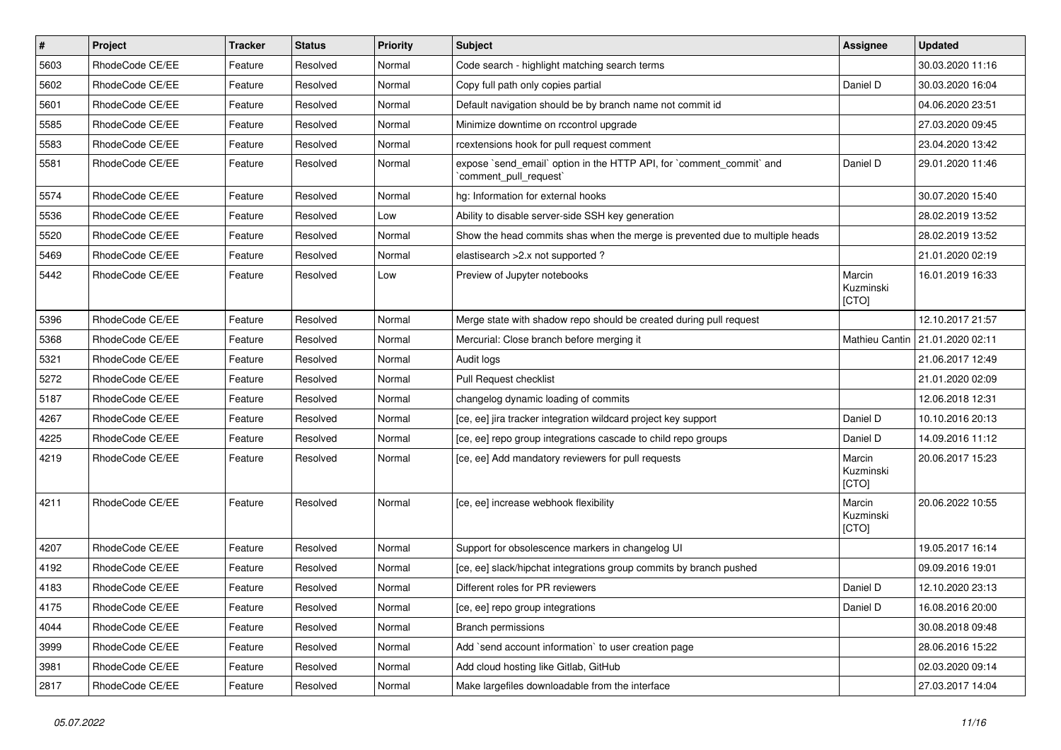| $\sharp$ | Project         | <b>Tracker</b> | <b>Status</b> | <b>Priority</b> | <b>Subject</b>                                                                                 | Assignee                     | <b>Updated</b>   |
|----------|-----------------|----------------|---------------|-----------------|------------------------------------------------------------------------------------------------|------------------------------|------------------|
| 5603     | RhodeCode CE/EE | Feature        | Resolved      | Normal          | Code search - highlight matching search terms                                                  |                              | 30.03.2020 11:16 |
| 5602     | RhodeCode CE/EE | Feature        | Resolved      | Normal          | Copy full path only copies partial                                                             | Daniel D                     | 30.03.2020 16:04 |
| 5601     | RhodeCode CE/EE | Feature        | Resolved      | Normal          | Default navigation should be by branch name not commit id                                      |                              | 04.06.2020 23:51 |
| 5585     | RhodeCode CE/EE | Feature        | Resolved      | Normal          | Minimize downtime on rccontrol upgrade                                                         |                              | 27.03.2020 09:45 |
| 5583     | RhodeCode CE/EE | Feature        | Resolved      | Normal          | rcextensions hook for pull request comment                                                     |                              | 23.04.2020 13:42 |
| 5581     | RhodeCode CE/EE | Feature        | Resolved      | Normal          | expose `send email` option in the HTTP API, for `comment commit` and<br>'comment_pull_request' | Daniel D                     | 29.01.2020 11:46 |
| 5574     | RhodeCode CE/EE | Feature        | Resolved      | Normal          | hg: Information for external hooks                                                             |                              | 30.07.2020 15:40 |
| 5536     | RhodeCode CE/EE | Feature        | Resolved      | Low             | Ability to disable server-side SSH key generation                                              |                              | 28.02.2019 13:52 |
| 5520     | RhodeCode CE/EE | Feature        | Resolved      | Normal          | Show the head commits shas when the merge is prevented due to multiple heads                   |                              | 28.02.2019 13:52 |
| 5469     | RhodeCode CE/EE | Feature        | Resolved      | Normal          | elastisearch > 2.x not supported ?                                                             |                              | 21.01.2020 02:19 |
| 5442     | RhodeCode CE/EE | Feature        | Resolved      | Low             | Preview of Jupyter notebooks                                                                   | Marcin<br>Kuzminski<br>[CTO] | 16.01.2019 16:33 |
| 5396     | RhodeCode CE/EE | Feature        | Resolved      | Normal          | Merge state with shadow repo should be created during pull request                             |                              | 12.10.2017 21:57 |
| 5368     | RhodeCode CE/EE | Feature        | Resolved      | Normal          | Mercurial: Close branch before merging it                                                      | Mathieu Cantin               | 21.01.2020 02:11 |
| 5321     | RhodeCode CE/EE | Feature        | Resolved      | Normal          | Audit logs                                                                                     |                              | 21.06.2017 12:49 |
| 5272     | RhodeCode CE/EE | Feature        | Resolved      | Normal          | Pull Request checklist                                                                         |                              | 21.01.2020 02:09 |
| 5187     | RhodeCode CE/EE | Feature        | Resolved      | Normal          | changelog dynamic loading of commits                                                           |                              | 12.06.2018 12:31 |
| 4267     | RhodeCode CE/EE | Feature        | Resolved      | Normal          | [ce, ee] jira tracker integration wildcard project key support                                 | Daniel D                     | 10.10.2016 20:13 |
| 4225     | RhodeCode CE/EE | Feature        | Resolved      | Normal          | [ce, ee] repo group integrations cascade to child repo groups                                  | Daniel D                     | 14.09.2016 11:12 |
| 4219     | RhodeCode CE/EE | Feature        | Resolved      | Normal          | [ce, ee] Add mandatory reviewers for pull requests                                             | Marcin<br>Kuzminski<br>[CTO] | 20.06.2017 15:23 |
| 4211     | RhodeCode CE/EE | Feature        | Resolved      | Normal          | [ce, ee] increase webhook flexibility                                                          | Marcin<br>Kuzminski<br>[CTO] | 20.06.2022 10:55 |
| 4207     | RhodeCode CE/EE | Feature        | Resolved      | Normal          | Support for obsolescence markers in changelog UI                                               |                              | 19.05.2017 16:14 |
| 4192     | RhodeCode CE/EE | Feature        | Resolved      | Normal          | [ce, ee] slack/hipchat integrations group commits by branch pushed                             |                              | 09.09.2016 19:01 |
| 4183     | RhodeCode CE/EE | Feature        | Resolved      | Normal          | Different roles for PR reviewers                                                               | Daniel D                     | 12.10.2020 23:13 |
| 4175     | RhodeCode CE/EE | Feature        | Resolved      | Normal          | [ce, ee] repo group integrations                                                               | Daniel D                     | 16.08.2016 20:00 |
| 4044     | RhodeCode CE/EE | Feature        | Resolved      | Normal          | Branch permissions                                                                             |                              | 30.08.2018 09:48 |
| 3999     | RhodeCode CE/EE | Feature        | Resolved      | Normal          | Add `send account information` to user creation page                                           |                              | 28.06.2016 15:22 |
| 3981     | RhodeCode CE/EE | Feature        | Resolved      | Normal          | Add cloud hosting like Gitlab, GitHub                                                          |                              | 02.03.2020 09:14 |
| 2817     | RhodeCode CE/EE | Feature        | Resolved      | Normal          | Make largefiles downloadable from the interface                                                |                              | 27.03.2017 14:04 |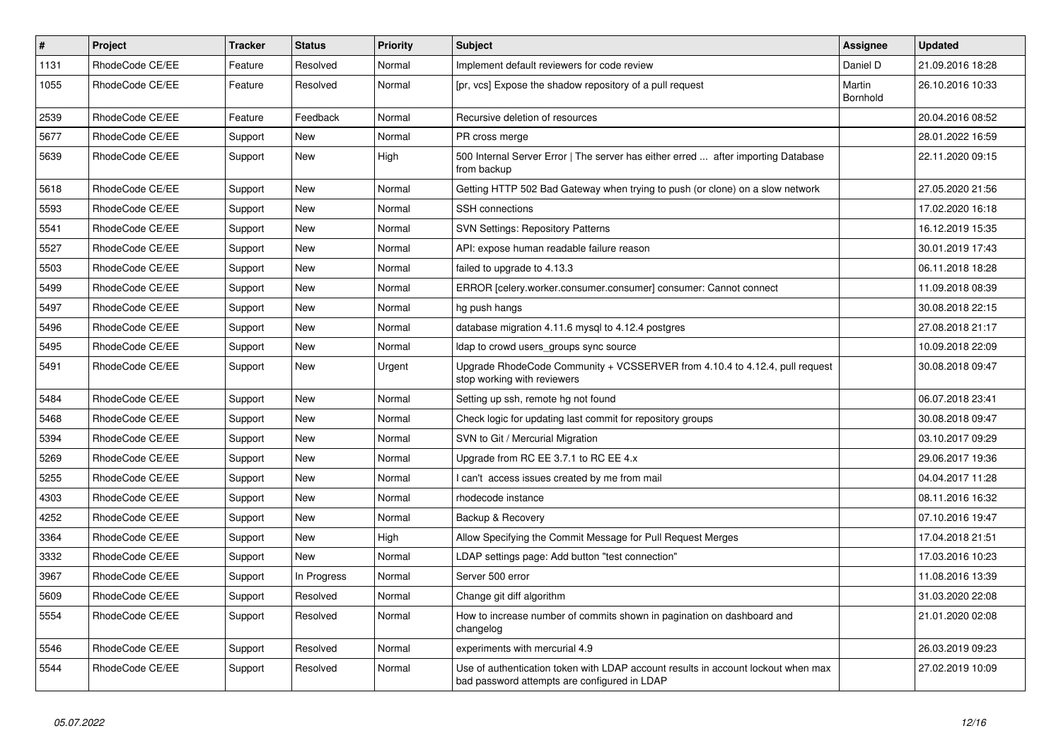| #    | <b>Project</b>  | <b>Tracker</b> | <b>Status</b> | <b>Priority</b> | <b>Subject</b>                                                                                                                    | <b>Assignee</b>           | <b>Updated</b>   |
|------|-----------------|----------------|---------------|-----------------|-----------------------------------------------------------------------------------------------------------------------------------|---------------------------|------------------|
| 1131 | RhodeCode CE/EE | Feature        | Resolved      | Normal          | Implement default reviewers for code review                                                                                       | Daniel D                  | 21.09.2016 18:28 |
| 1055 | RhodeCode CE/EE | Feature        | Resolved      | Normal          | [pr, vcs] Expose the shadow repository of a pull request                                                                          | Martin<br><b>Bornhold</b> | 26.10.2016 10:33 |
| 2539 | RhodeCode CE/EE | Feature        | Feedback      | Normal          | Recursive deletion of resources                                                                                                   |                           | 20.04.2016 08:52 |
| 5677 | RhodeCode CE/EE | Support        | <b>New</b>    | Normal          | PR cross merge                                                                                                                    |                           | 28.01.2022 16:59 |
| 5639 | RhodeCode CE/EE | Support        | New           | High            | 500 Internal Server Error   The server has either erred  after importing Database<br>from backup                                  |                           | 22.11.2020 09:15 |
| 5618 | RhodeCode CE/EE | Support        | <b>New</b>    | Normal          | Getting HTTP 502 Bad Gateway when trying to push (or clone) on a slow network                                                     |                           | 27.05.2020 21:56 |
| 5593 | RhodeCode CE/EE | Support        | <b>New</b>    | Normal          | <b>SSH</b> connections                                                                                                            |                           | 17.02.2020 16:18 |
| 5541 | RhodeCode CE/EE | Support        | New           | Normal          | <b>SVN Settings: Repository Patterns</b>                                                                                          |                           | 16.12.2019 15:35 |
| 5527 | RhodeCode CE/EE | Support        | <b>New</b>    | Normal          | API: expose human readable failure reason                                                                                         |                           | 30.01.2019 17:43 |
| 5503 | RhodeCode CE/EE | Support        | <b>New</b>    | Normal          | failed to upgrade to 4.13.3                                                                                                       |                           | 06.11.2018 18:28 |
| 5499 | RhodeCode CE/EE | Support        | <b>New</b>    | Normal          | ERROR [celery.worker.consumer.consumer] consumer: Cannot connect                                                                  |                           | 11.09.2018 08:39 |
| 5497 | RhodeCode CE/EE | Support        | New           | Normal          | hg push hangs                                                                                                                     |                           | 30.08.2018 22:15 |
| 5496 | RhodeCode CE/EE | Support        | New           | Normal          | database migration 4.11.6 mysql to 4.12.4 postgres                                                                                |                           | 27.08.2018 21:17 |
| 5495 | RhodeCode CE/EE | Support        | New           | Normal          | Idap to crowd users_groups sync source                                                                                            |                           | 10.09.2018 22:09 |
| 5491 | RhodeCode CE/EE | Support        | <b>New</b>    | Urgent          | Upgrade RhodeCode Community + VCSSERVER from 4.10.4 to 4.12.4, pull request<br>stop working with reviewers                        |                           | 30.08.2018 09:47 |
| 5484 | RhodeCode CE/EE | Support        | <b>New</b>    | Normal          | Setting up ssh, remote hg not found                                                                                               |                           | 06.07.2018 23:41 |
| 5468 | RhodeCode CE/EE | Support        | <b>New</b>    | Normal          | Check logic for updating last commit for repository groups                                                                        |                           | 30.08.2018 09:47 |
| 5394 | RhodeCode CE/EE | Support        | <b>New</b>    | Normal          | SVN to Git / Mercurial Migration                                                                                                  |                           | 03.10.2017 09:29 |
| 5269 | RhodeCode CE/EE | Support        | <b>New</b>    | Normal          | Upgrade from RC EE 3.7.1 to RC EE 4.x                                                                                             |                           | 29.06.2017 19:36 |
| 5255 | RhodeCode CE/EE | Support        | <b>New</b>    | Normal          | I can't access issues created by me from mail                                                                                     |                           | 04.04.2017 11:28 |
| 4303 | RhodeCode CE/EE | Support        | <b>New</b>    | Normal          | rhodecode instance                                                                                                                |                           | 08.11.2016 16:32 |
| 4252 | RhodeCode CE/EE | Support        | <b>New</b>    | Normal          | Backup & Recovery                                                                                                                 |                           | 07.10.2016 19:47 |
| 3364 | RhodeCode CE/EE | Support        | <b>New</b>    | High            | Allow Specifying the Commit Message for Pull Request Merges                                                                       |                           | 17.04.2018 21:51 |
| 3332 | RhodeCode CE/EE | Support        | <b>New</b>    | Normal          | LDAP settings page: Add button "test connection"                                                                                  |                           | 17.03.2016 10:23 |
| 3967 | RhodeCode CE/EE | Support        | In Progress   | Normal          | Server 500 error                                                                                                                  |                           | 11.08.2016 13:39 |
| 5609 | RhodeCode CE/EE | Support        | Resolved      | Normal          | Change git diff algorithm                                                                                                         |                           | 31.03.2020 22:08 |
| 5554 | RhodeCode CE/EE | Support        | Resolved      | Normal          | How to increase number of commits shown in pagination on dashboard and<br>changelog                                               |                           | 21.01.2020 02:08 |
| 5546 | RhodeCode CE/EE | Support        | Resolved      | Normal          | experiments with mercurial 4.9                                                                                                    |                           | 26.03.2019 09:23 |
| 5544 | RhodeCode CE/EE | Support        | Resolved      | Normal          | Use of authentication token with LDAP account results in account lockout when max<br>bad password attempts are configured in LDAP |                           | 27.02.2019 10:09 |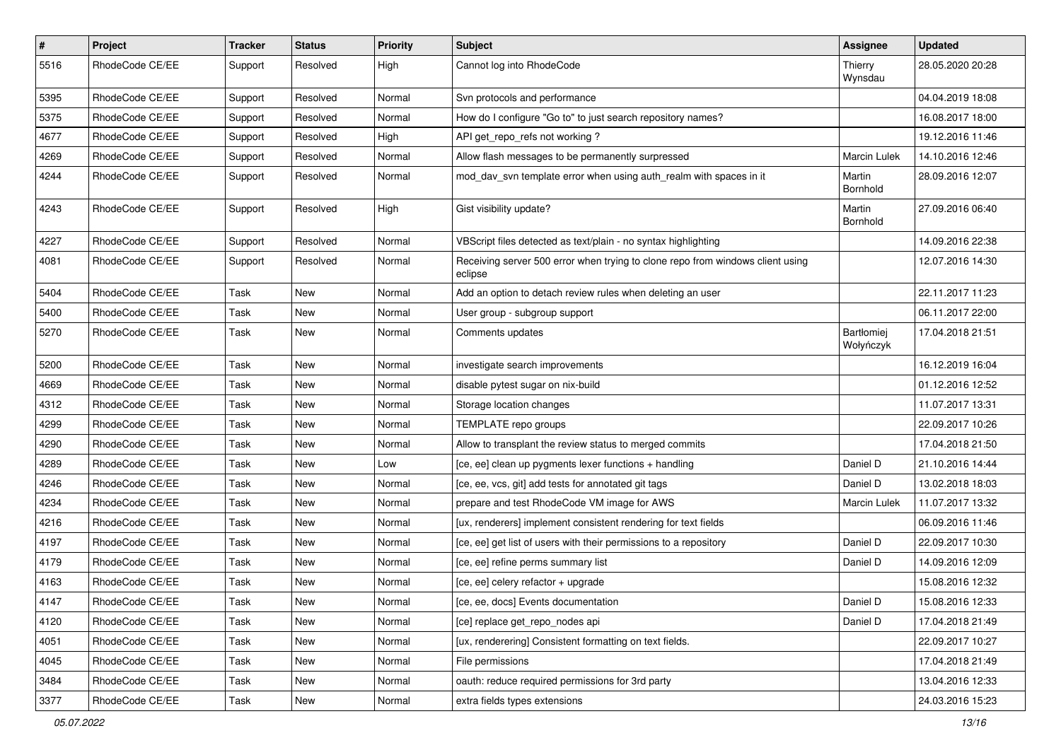| $\pmb{\#}$ | Project         | <b>Tracker</b> | <b>Status</b> | <b>Priority</b> | <b>Subject</b>                                                                            | <b>Assignee</b>         | <b>Updated</b>   |
|------------|-----------------|----------------|---------------|-----------------|-------------------------------------------------------------------------------------------|-------------------------|------------------|
| 5516       | RhodeCode CE/EE | Support        | Resolved      | High            | Cannot log into RhodeCode                                                                 | Thierry<br>Wynsdau      | 28.05.2020 20:28 |
| 5395       | RhodeCode CE/EE | Support        | Resolved      | Normal          | Svn protocols and performance                                                             |                         | 04.04.2019 18:08 |
| 5375       | RhodeCode CE/EE | Support        | Resolved      | Normal          | How do I configure "Go to" to just search repository names?                               |                         | 16.08.2017 18:00 |
| 4677       | RhodeCode CE/EE | Support        | Resolved      | High            | API get_repo_refs not working?                                                            |                         | 19.12.2016 11:46 |
| 4269       | RhodeCode CE/EE | Support        | Resolved      | Normal          | Allow flash messages to be permanently surpressed                                         | <b>Marcin Lulek</b>     | 14.10.2016 12:46 |
| 4244       | RhodeCode CE/EE | Support        | Resolved      | Normal          | mod_dav_svn template error when using auth_realm with spaces in it                        | Martin<br>Bornhold      | 28.09.2016 12:07 |
| 4243       | RhodeCode CE/EE | Support        | Resolved      | High            | Gist visibility update?                                                                   | Martin<br>Bornhold      | 27.09.2016 06:40 |
| 4227       | RhodeCode CE/EE | Support        | Resolved      | Normal          | VBScript files detected as text/plain - no syntax highlighting                            |                         | 14.09.2016 22:38 |
| 4081       | RhodeCode CE/EE | Support        | Resolved      | Normal          | Receiving server 500 error when trying to clone repo from windows client using<br>eclipse |                         | 12.07.2016 14:30 |
| 5404       | RhodeCode CE/EE | Task           | New           | Normal          | Add an option to detach review rules when deleting an user                                |                         | 22.11.2017 11:23 |
| 5400       | RhodeCode CE/EE | Task           | New           | Normal          | User group - subgroup support                                                             |                         | 06.11.2017 22:00 |
| 5270       | RhodeCode CE/EE | Task           | New           | Normal          | Comments updates                                                                          | Bartłomiej<br>Wołyńczyk | 17.04.2018 21:51 |
| 5200       | RhodeCode CE/EE | Task           | <b>New</b>    | Normal          | investigate search improvements                                                           |                         | 16.12.2019 16:04 |
| 4669       | RhodeCode CE/EE | Task           | New           | Normal          | disable pytest sugar on nix-build                                                         |                         | 01.12.2016 12:52 |
| 4312       | RhodeCode CE/EE | Task           | New           | Normal          | Storage location changes                                                                  |                         | 11.07.2017 13:31 |
| 4299       | RhodeCode CE/EE | Task           | New           | Normal          | TEMPLATE repo groups                                                                      |                         | 22.09.2017 10:26 |
| 4290       | RhodeCode CE/EE | Task           | New           | Normal          | Allow to transplant the review status to merged commits                                   |                         | 17.04.2018 21:50 |
| 4289       | RhodeCode CE/EE | Task           | New           | Low             | [ce, ee] clean up pygments lexer functions + handling                                     | Daniel D                | 21.10.2016 14:44 |
| 4246       | RhodeCode CE/EE | Task           | New           | Normal          | [ce, ee, vcs, git] add tests for annotated git tags                                       | Daniel D                | 13.02.2018 18:03 |
| 4234       | RhodeCode CE/EE | Task           | New           | Normal          | prepare and test RhodeCode VM image for AWS                                               | Marcin Lulek            | 11.07.2017 13:32 |
| 4216       | RhodeCode CE/EE | Task           | <b>New</b>    | Normal          | [ux, renderers] implement consistent rendering for text fields                            |                         | 06.09.2016 11:46 |
| 4197       | RhodeCode CE/EE | Task           | New           | Normal          | [ce, ee] get list of users with their permissions to a repository                         | Daniel D                | 22.09.2017 10:30 |
| 4179       | RhodeCode CE/EE | Task           | New           | Normal          | [ce, ee] refine perms summary list                                                        | Daniel D                | 14.09.2016 12:09 |
| 4163       | RhodeCode CE/EE | Task           | New           | Normal          | [ce, ee] celery refactor + upgrade                                                        |                         | 15.08.2016 12:32 |
| 4147       | RhodeCode CE/EE | Task           | New           | Normal          | [ce, ee, docs] Events documentation                                                       | Daniel D                | 15.08.2016 12:33 |
| 4120       | RhodeCode CE/EE | Task           | New           | Normal          | [ce] replace get_repo_nodes api                                                           | Daniel D                | 17.04.2018 21:49 |
| 4051       | RhodeCode CE/EE | Task           | New           | Normal          | [ux, renderering] Consistent formatting on text fields.                                   |                         | 22.09.2017 10:27 |
| 4045       | RhodeCode CE/EE | Task           | New           | Normal          | File permissions                                                                          |                         | 17.04.2018 21:49 |
| 3484       | RhodeCode CE/EE | Task           | New           | Normal          | oauth: reduce required permissions for 3rd party                                          |                         | 13.04.2016 12:33 |
| 3377       | RhodeCode CE/EE | Task           | New           | Normal          | extra fields types extensions                                                             |                         | 24.03.2016 15:23 |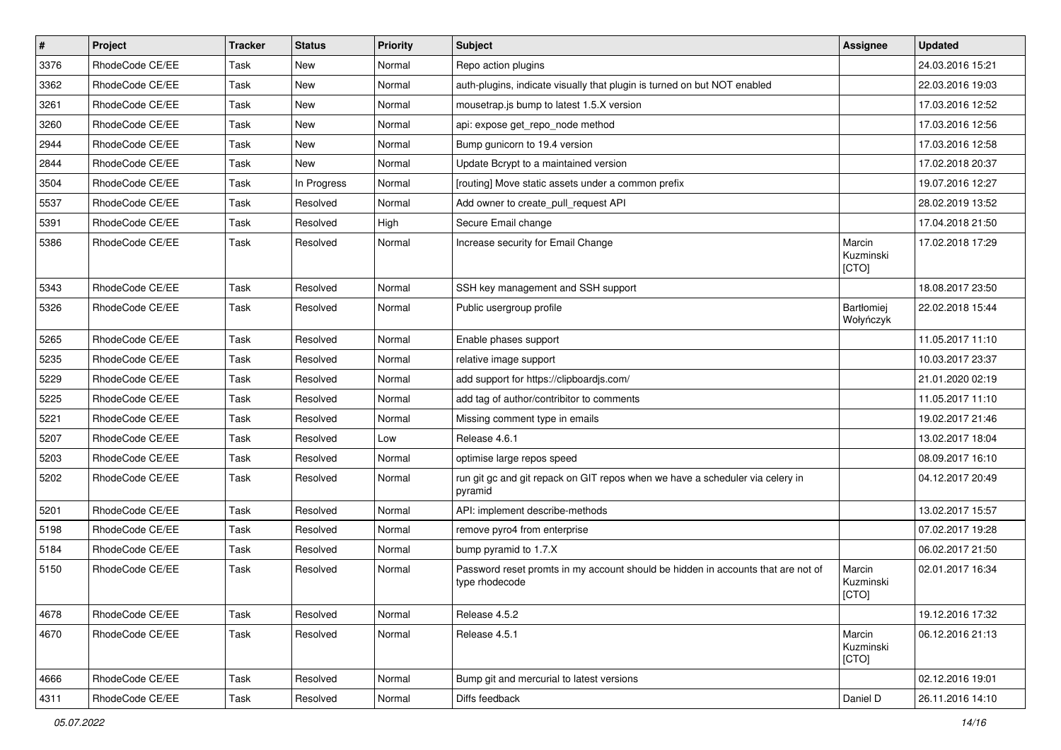| $\sharp$ | Project         | <b>Tracker</b> | <b>Status</b> | <b>Priority</b> | <b>Subject</b>                                                                                     | <b>Assignee</b>              | <b>Updated</b>   |
|----------|-----------------|----------------|---------------|-----------------|----------------------------------------------------------------------------------------------------|------------------------------|------------------|
| 3376     | RhodeCode CE/EE | Task           | New           | Normal          | Repo action plugins                                                                                |                              | 24.03.2016 15:21 |
| 3362     | RhodeCode CE/EE | Task           | <b>New</b>    | Normal          | auth-plugins, indicate visually that plugin is turned on but NOT enabled                           |                              | 22.03.2016 19:03 |
| 3261     | RhodeCode CE/EE | Task           | New           | Normal          | mousetrap.is bump to latest 1.5.X version                                                          |                              | 17.03.2016 12:52 |
| 3260     | RhodeCode CE/EE | Task           | <b>New</b>    | Normal          | api: expose get repo node method                                                                   |                              | 17.03.2016 12:56 |
| 2944     | RhodeCode CE/EE | Task           | <b>New</b>    | Normal          | Bump gunicorn to 19.4 version                                                                      |                              | 17.03.2016 12:58 |
| 2844     | RhodeCode CE/EE | Task           | <b>New</b>    | Normal          | Update Bcrypt to a maintained version                                                              |                              | 17.02.2018 20:37 |
| 3504     | RhodeCode CE/EE | Task           | In Progress   | Normal          | [routing] Move static assets under a common prefix                                                 |                              | 19.07.2016 12:27 |
| 5537     | RhodeCode CE/EE | Task           | Resolved      | Normal          | Add owner to create pull request API                                                               |                              | 28.02.2019 13:52 |
| 5391     | RhodeCode CE/EE | Task           | Resolved      | High            | Secure Email change                                                                                |                              | 17.04.2018 21:50 |
| 5386     | RhodeCode CE/EE | Task           | Resolved      | Normal          | Increase security for Email Change                                                                 | Marcin<br>Kuzminski<br>[CTO] | 17.02.2018 17:29 |
| 5343     | RhodeCode CE/EE | Task           | Resolved      | Normal          | SSH key management and SSH support                                                                 |                              | 18.08.2017 23:50 |
| 5326     | RhodeCode CE/EE | Task           | Resolved      | Normal          | Public usergroup profile                                                                           | Bartłomiej<br>Wołyńczyk      | 22.02.2018 15:44 |
| 5265     | RhodeCode CE/EE | Task           | Resolved      | Normal          | Enable phases support                                                                              |                              | 11.05.2017 11:10 |
| 5235     | RhodeCode CE/EE | Task           | Resolved      | Normal          | relative image support                                                                             |                              | 10.03.2017 23:37 |
| 5229     | RhodeCode CE/EE | Task           | Resolved      | Normal          | add support for https://clipboardjs.com/                                                           |                              | 21.01.2020 02:19 |
| 5225     | RhodeCode CE/EE | Task           | Resolved      | Normal          | add tag of author/contribitor to comments                                                          |                              | 11.05.2017 11:10 |
| 5221     | RhodeCode CE/EE | Task           | Resolved      | Normal          | Missing comment type in emails                                                                     |                              | 19.02.2017 21:46 |
| 5207     | RhodeCode CE/EE | Task           | Resolved      | Low             | Release 4.6.1                                                                                      |                              | 13.02.2017 18:04 |
| 5203     | RhodeCode CE/EE | Task           | Resolved      | Normal          | optimise large repos speed                                                                         |                              | 08.09.2017 16:10 |
| 5202     | RhodeCode CE/EE | Task           | Resolved      | Normal          | run git gc and git repack on GIT repos when we have a scheduler via celery in<br>pyramid           |                              | 04.12.2017 20:49 |
| 5201     | RhodeCode CE/EE | Task           | Resolved      | Normal          | API: implement describe-methods                                                                    |                              | 13.02.2017 15:57 |
| 5198     | RhodeCode CE/EE | Task           | Resolved      | Normal          | remove pyro4 from enterprise                                                                       |                              | 07.02.2017 19:28 |
| 5184     | RhodeCode CE/EE | Task           | Resolved      | Normal          | bump pyramid to 1.7.X                                                                              |                              | 06.02.2017 21:50 |
| 5150     | RhodeCode CE/EE | Task           | Resolved      | Normal          | Password reset promts in my account should be hidden in accounts that are not of<br>type rhodecode | Marcin<br>Kuzminski<br>[CTO] | 02.01.2017 16:34 |
| 4678     | RhodeCode CE/EE | Task           | Resolved      | Normal          | Release 4.5.2                                                                                      |                              | 19.12.2016 17:32 |
| 4670     | RhodeCode CE/EE | Task           | Resolved      | Normal          | Release 4.5.1                                                                                      | Marcin<br>Kuzminski<br>[CTO] | 06.12.2016 21:13 |
| 4666     | RhodeCode CE/EE | Task           | Resolved      | Normal          | Bump git and mercurial to latest versions                                                          |                              | 02.12.2016 19:01 |
| 4311     | RhodeCode CE/EE | Task           | Resolved      | Normal          | Diffs feedback                                                                                     | Daniel D                     | 26.11.2016 14:10 |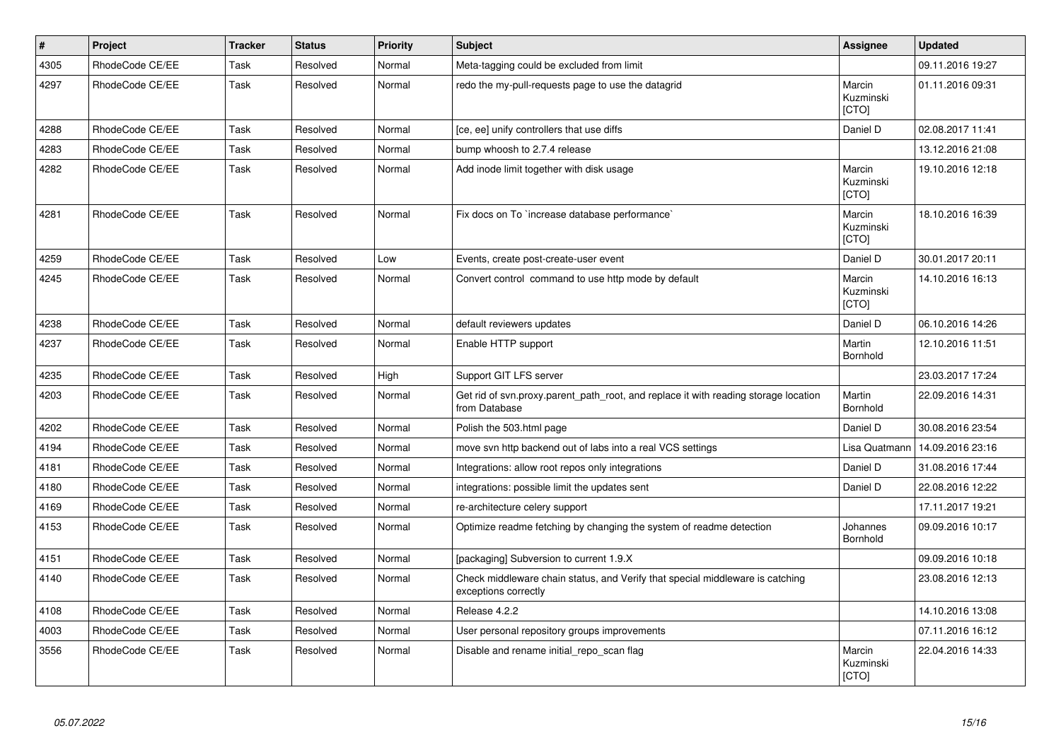| $\vert$ # | Project         | <b>Tracker</b> | <b>Status</b> | <b>Priority</b> | <b>Subject</b>                                                                                        | Assignee                            | <b>Updated</b>   |
|-----------|-----------------|----------------|---------------|-----------------|-------------------------------------------------------------------------------------------------------|-------------------------------------|------------------|
| 4305      | RhodeCode CE/EE | Task           | Resolved      | Normal          | Meta-tagging could be excluded from limit                                                             |                                     | 09.11.2016 19:27 |
| 4297      | RhodeCode CE/EE | Task           | Resolved      | Normal          | redo the my-pull-requests page to use the datagrid                                                    | Marcin<br>Kuzminski<br>[CTO]        | 01.11.2016 09:31 |
| 4288      | RhodeCode CE/EE | Task           | Resolved      | Normal          | [ce, ee] unify controllers that use diffs                                                             | Daniel D                            | 02.08.2017 11:41 |
| 4283      | RhodeCode CE/EE | Task           | Resolved      | Normal          | bump whoosh to 2.7.4 release                                                                          |                                     | 13.12.2016 21:08 |
| 4282      | RhodeCode CE/EE | Task           | Resolved      | Normal          | Add inode limit together with disk usage                                                              | Marcin<br>Kuzminski<br>[CTO]        | 19.10.2016 12:18 |
| 4281      | RhodeCode CE/EE | Task           | Resolved      | Normal          | Fix docs on To `increase database performance`                                                        | Marcin<br>Kuzminski<br><b>ICTOI</b> | 18.10.2016 16:39 |
| 4259      | RhodeCode CE/EE | Task           | Resolved      | Low             | Events, create post-create-user event                                                                 | Daniel D                            | 30.01.2017 20:11 |
| 4245      | RhodeCode CE/EE | Task           | Resolved      | Normal          | Convert control command to use http mode by default                                                   | Marcin<br>Kuzminski<br>[CTO]        | 14.10.2016 16:13 |
| 4238      | RhodeCode CE/EE | Task           | Resolved      | Normal          | default reviewers updates                                                                             | Daniel D                            | 06.10.2016 14:26 |
| 4237      | RhodeCode CE/EE | Task           | Resolved      | Normal          | Enable HTTP support                                                                                   | Martin<br>Bornhold                  | 12.10.2016 11:51 |
| 4235      | RhodeCode CE/EE | Task           | Resolved      | High            | Support GIT LFS server                                                                                |                                     | 23.03.2017 17:24 |
| 4203      | RhodeCode CE/EE | Task           | Resolved      | Normal          | Get rid of svn.proxy.parent_path_root, and replace it with reading storage location<br>from Database  | Martin<br><b>Bornhold</b>           | 22.09.2016 14:31 |
| 4202      | RhodeCode CE/EE | Task           | Resolved      | Normal          | Polish the 503.html page                                                                              | Daniel D                            | 30.08.2016 23:54 |
| 4194      | RhodeCode CE/EE | Task           | Resolved      | Normal          | move svn http backend out of labs into a real VCS settings                                            | Lisa Quatmann                       | 14.09.2016 23:16 |
| 4181      | RhodeCode CE/EE | Task           | Resolved      | Normal          | Integrations: allow root repos only integrations                                                      | Daniel D                            | 31.08.2016 17:44 |
| 4180      | RhodeCode CE/EE | Task           | Resolved      | Normal          | integrations: possible limit the updates sent                                                         | Daniel D                            | 22.08.2016 12:22 |
| 4169      | RhodeCode CE/EE | Task           | Resolved      | Normal          | re-architecture celery support                                                                        |                                     | 17.11.2017 19:21 |
| 4153      | RhodeCode CE/EE | Task           | Resolved      | Normal          | Optimize readme fetching by changing the system of readme detection                                   | Johannes<br>Bornhold                | 09.09.2016 10:17 |
| 4151      | RhodeCode CE/EE | Task           | Resolved      | Normal          | [packaging] Subversion to current 1.9.X                                                               |                                     | 09.09.2016 10:18 |
| 4140      | RhodeCode CE/EE | Task           | Resolved      | Normal          | Check middleware chain status, and Verify that special middleware is catching<br>exceptions correctly |                                     | 23.08.2016 12:13 |
| 4108      | RhodeCode CE/EE | Task           | Resolved      | Normal          | Release 4.2.2                                                                                         |                                     | 14.10.2016 13:08 |
| 4003      | RhodeCode CE/EE | Task           | Resolved      | Normal          | User personal repository groups improvements                                                          |                                     | 07.11.2016 16:12 |
| 3556      | RhodeCode CE/EE | Task           | Resolved      | Normal          | Disable and rename initial repo scan flag                                                             | Marcin<br>Kuzminski<br>[CTO]        | 22.04.2016 14:33 |